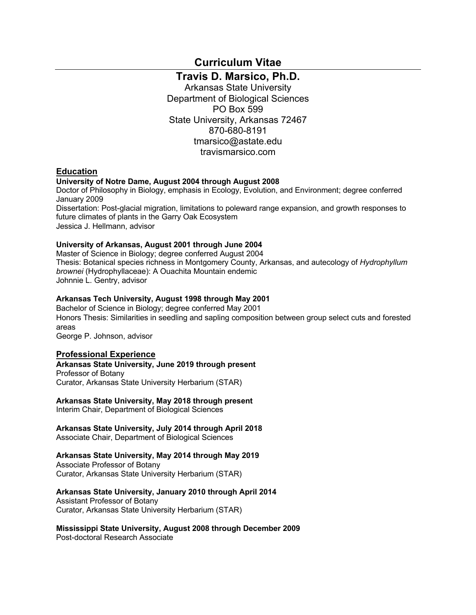**Curriculum Vitae**

**Travis D. Marsico, Ph.D.**

Arkansas State University Department of Biological Sciences PO Box 599 State University, Arkansas 72467 870-680-8191 tmarsico@astate.edu travismarsico.com

### **Education**

### **University of Notre Dame, August 2004 through August 2008**

Doctor of Philosophy in Biology, emphasis in Ecology, Evolution, and Environment; degree conferred January 2009

Dissertation: Post-glacial migration, limitations to poleward range expansion, and growth responses to future climates of plants in the Garry Oak Ecosystem Jessica J. Hellmann, advisor

### **University of Arkansas, August 2001 through June 2004**

Master of Science in Biology; degree conferred August 2004 Thesis: Botanical species richness in Montgomery County, Arkansas, and autecology of *Hydrophyllum brownei* (Hydrophyllaceae): A Ouachita Mountain endemic Johnnie L. Gentry, advisor

### **Arkansas Tech University, August 1998 through May 2001**

Bachelor of Science in Biology; degree conferred May 2001 Honors Thesis: Similarities in seedling and sapling composition between group select cuts and forested areas

George P. Johnson, advisor

### **Professional Experience**

### **Arkansas State University, June 2019 through present**

Professor of Botany Curator, Arkansas State University Herbarium (STAR)

### **Arkansas State University, May 2018 through present**

Interim Chair, Department of Biological Sciences

### **Arkansas State University, July 2014 through April 2018**

Associate Chair, Department of Biological Sciences

### **Arkansas State University, May 2014 through May 2019**

Associate Professor of Botany Curator, Arkansas State University Herbarium (STAR)

### **Arkansas State University, January 2010 through April 2014**

Assistant Professor of Botany Curator, Arkansas State University Herbarium (STAR)

**Mississippi State University, August 2008 through December 2009**

Post-doctoral Research Associate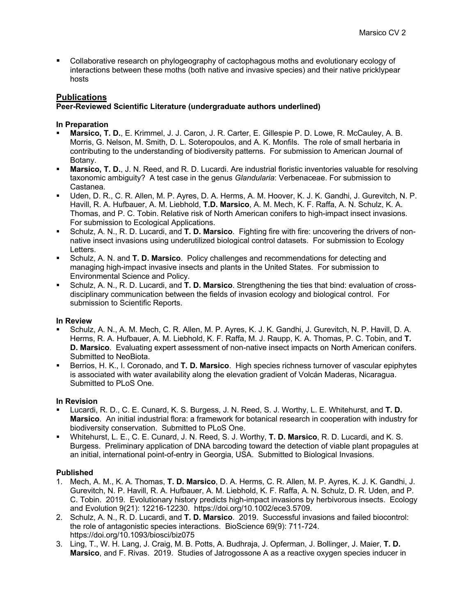§ Collaborative research on phylogeography of cactophagous moths and evolutionary ecology of interactions between these moths (both native and invasive species) and their native pricklypear hosts

## **Publications**

## **Peer-Reviewed Scientific Literature (undergraduate authors underlined)**

### **In Preparation**

- § **Marsico, T. D.**, E. Krimmel, J. J. Caron, J. R. Carter, E. Gillespie P. D. Lowe, R. McCauley, A. B. Morris, G. Nelson, M. Smith, D. L. Soteropoulos, and A. K. Monfils. The role of small herbaria in contributing to the understanding of biodiversity patterns. For submission to American Journal of Botany.
- § **Marsico, T. D.**, J. N. Reed, and R. D. Lucardi. Are industrial floristic inventories valuable for resolving taxonomic ambiguity? A test case in the genus *Glandularia*: Verbenaceae. For submission to Castanea.
- Uden, D. R., C. R. Allen, M. P. Ayres, D. A. Herms, A. M. Hoover, K. J. K. Gandhi, J. Gurevitch, N. P. Havill, R. A. Hufbauer, A. M. Liebhold, **T.D. Marsico**, A. M. Mech, K. F. Raffa, A. N. Schulz, K. A. Thomas, and P. C. Tobin. Relative risk of North American conifers to high-impact insect invasions. For submission to Ecological Applications.
- § Schulz, A. N., R. D. Lucardi, and **T. D. Marsico**. Fighting fire with fire: uncovering the drivers of nonnative insect invasions using underutilized biological control datasets. For submission to Ecology Letters.
- Schulz, A. N. and **T. D. Marsico**. Policy challenges and recommendations for detecting and managing high-impact invasive insects and plants in the United States. For submission to Environmental Science and Policy.
- § Schulz, A. N., R. D. Lucardi, and **T. D. Marsico**. Strengthening the ties that bind: evaluation of crossdisciplinary communication between the fields of invasion ecology and biological control. For submission to Scientific Reports.

### **In Review**

- § Schulz, A. N., A. M. Mech, C. R. Allen, M. P. Ayres, K. J. K. Gandhi, J. Gurevitch, N. P. Havill, D. A. Herms, R. A. Hufbauer, A. M. Liebhold, K. F. Raffa, M. J. Raupp, K. A. Thomas, P. C. Tobin, and **T. D. Marsico**. Evaluating expert assessment of non-native insect impacts on North American conifers. Submitted to NeoBiota.
- § Berrios, H. K., I. Coronado, and **T. D. Marsico**. High species richness turnover of vascular epiphytes is associated with water availability along the elevation gradient of Volcán Maderas, Nicaragua. Submitted to PLoS One.

### **In Revision**

- § Lucardi, R. D., C. E. Cunard, K. S. Burgess, J. N. Reed, S. J. Worthy, L. E. Whitehurst, and **T. D. Marsico**. An initial industrial flora: a framework for botanical research in cooperation with industry for biodiversity conservation. Submitted to PLoS One.
- § Whitehurst, L. E., C. E. Cunard, J. N. Reed, S. J. Worthy, **T. D. Marsico**, R. D. Lucardi, and K. S. Burgess. Preliminary application of DNA barcoding toward the detection of viable plant propagules at an initial, international point-of-entry in Georgia, USA. Submitted to Biological Invasions.

### **Published**

- 1. Mech, A. M., K. A. Thomas, **T. D. Marsico**, D. A. Herms, C. R. Allen, M. P. Ayres, K. J. K. Gandhi, J. Gurevitch, N. P. Havill, R. A. Hufbauer, A. M. Liebhold, K. F. Raffa, A. N. Schulz, D. R. Uden, and P. C. Tobin. 2019. Evolutionary history predicts high-impact invasions by herbivorous insects. Ecology and Evolution 9(21): 12216-12230. https://doi.org/10.1002/ece3.5709.
- 2. Schulz, A. N., R. D. Lucardi, and **T. D. Marsico**. 2019. Successful invasions and failed biocontrol: the role of antagonistic species interactions. BioScience 69(9): 711-724. https://doi.org/10.1093/biosci/biz075
- 3. Ling, T., W. H. Lang, J. Craig, M. B. Potts, A. Budhraja, J. Opferman, J. Bollinger, J. Maier, **T. D. Marsico**, and F. Rivas. 2019. Studies of Jatrogossone A as a reactive oxygen species inducer in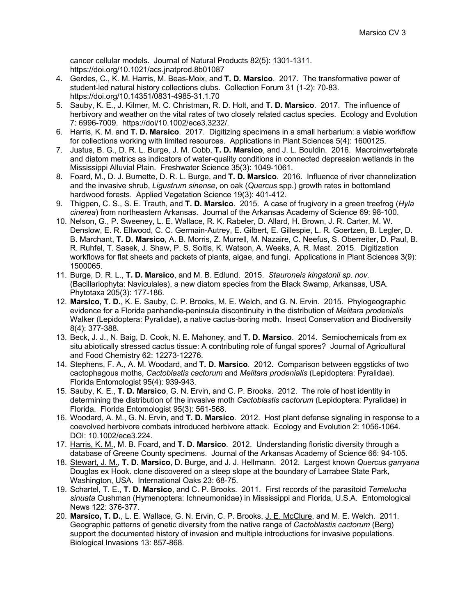cancer cellular models. Journal of Natural Products 82(5): 1301-1311. https://doi.org/10.1021/acs.jnatprod.8b01087

- 4. Gerdes, C., K. M. Harris, M. Beas-Moix, and **T. D. Marsico**. 2017. The transformative power of student-led natural history collections clubs. Collection Forum 31 (1-2): 70-83. https://doi.org/10.14351/0831-4985-31.1.70
- 5. Sauby, K. E., J. Kilmer, M. C. Christman, R. D. Holt, and **T. D. Marsico**. 2017. The influence of herbivory and weather on the vital rates of two closely related cactus species. Ecology and Evolution 7: 6996-7009. https://doi/10.1002/ece3.3232/.
- 6. Harris, K. M. and **T. D. Marsico**. 2017. Digitizing specimens in a small herbarium: a viable workflow for collections working with limited resources. Applications in Plant Sciences 5(4): 1600125.
- 7. Justus, B. G., D. R. L. Burge, J. M. Cobb, **T. D. Marsico**, and J. L. Bouldin. 2016. Macroinvertebrate and diatom metrics as indicators of water-quality conditions in connected depression wetlands in the Mississippi Alluvial Plain. Freshwater Science 35(3): 1049-1061.
- 8. Foard, M., D. J. Burnette, D. R. L. Burge, and **T. D. Marsico**. 2016. Influence of river channelization and the invasive shrub, *Ligustrum sinense*, on oak (*Quercus* spp.) growth rates in bottomland hardwood forests. Applied Vegetation Science 19(3): 401-412.
- 9. Thigpen, C. S., S. E. Trauth, and **T. D. Marsico**. 2015. A case of frugivory in a green treefrog (*Hyla cinerea*) from northeastern Arkansas. Journal of the Arkansas Academy of Science 69: 98-100.
- 10. Nelson, G., P. Sweeney, L. E. Wallace, R. K. Rabeler, D. Allard, H. Brown, J. R. Carter, M. W. Denslow, E. R. Ellwood, C. C. Germain-Autrey, E. Gilbert, E. Gillespie, L. R. Goertzen, B. Legler, D. B. Marchant, **T. D. Marsico**, A. B. Morris, Z. Murrell, M. Nazaire, C. Neefus, S. Oberreiter, D. Paul, B. R. Ruhfel, T. Sasek, J. Shaw, P. S. Soltis, K. Watson, A. Weeks, A. R. Mast. 2015. Digitization workflows for flat sheets and packets of plants, algae, and fungi. Applications in Plant Sciences 3(9): 1500065.
- 11. Burge, D. R. L., **T. D. Marsico**, and M. B. Edlund. 2015. *Stauroneis kingstonii sp. nov.* (Bacillariophyta: Naviculales), a new diatom species from the Black Swamp, Arkansas, USA. Phytotaxa 205(3): 177-186.
- 12. **Marsico, T. D.**, K. E. Sauby, C. P. Brooks, M. E. Welch, and G. N. Ervin. 2015. Phylogeographic evidence for a Florida panhandle-peninsula discontinuity in the distribution of *Melitara prodenialis* Walker (Lepidoptera: Pyralidae), a native cactus-boring moth. Insect Conservation and Biodiversity 8(4): 377-388.
- 13. Beck, J. J., N. Baig, D. Cook, N. E. Mahoney, and **T. D. Marsico**. 2014. Semiochemicals from ex situ abiotically stressed cactus tissue: A contributing role of fungal spores? Journal of Agricultural and Food Chemistry 62: 12273-12276.
- 14. Stephens, F. A., A. M. Woodard, and **T. D. Marsico**. 2012. Comparison between eggsticks of two cactophagous moths, *Cactoblastis cactorum* and *Melitara prodenialis* (Lepidoptera: Pyralidae). Florida Entomologist 95(4): 939-943.
- 15. Sauby, K. E., **T. D. Marsico**, G. N. Ervin, and C. P. Brooks. 2012. The role of host identity in determining the distribution of the invasive moth *Cactoblastis cactorum* (Lepidoptera: Pyralidae) in Florida. Florida Entomologist 95(3): 561-568.
- 16. Woodard, A. M., G. N. Ervin, and **T. D. Marsico**. 2012. Host plant defense signaling in response to a coevolved herbivore combats introduced herbivore attack. Ecology and Evolution 2: 1056-1064. DOI: 10.1002/ece3.224.
- 17. Harris, K. M., M. B. Foard, and **T. D. Marsico**. 2012. Understanding floristic diversity through a database of Greene County specimens. Journal of the Arkansas Academy of Science 66: 94-105.
- 18. Stewart, J. M., **T. D. Marsico**, D. Burge, and J. J. Hellmann. 2012. Largest known *Quercus garryana* Douglas ex Hook. clone discovered on a steep slope at the boundary of Larrabee State Park, Washington, USA. International Oaks 23: 68-75.
- 19. Schartel, T. E., **T. D. Marsico**, and C. P. Brooks. 2011. First records of the parasitoid *Temelucha sinuata* Cushman (Hymenoptera: Ichneumonidae) in Mississippi and Florida, U.S.A. Entomological News 122: 376-377.
- 20. **Marsico, T. D.**, L. E. Wallace, G. N. Ervin, C. P. Brooks, J. E. McClure, and M. E. Welch. 2011. Geographic patterns of genetic diversity from the native range of *Cactoblastis cactorum* (Berg) support the documented history of invasion and multiple introductions for invasive populations. Biological Invasions 13: 857-868.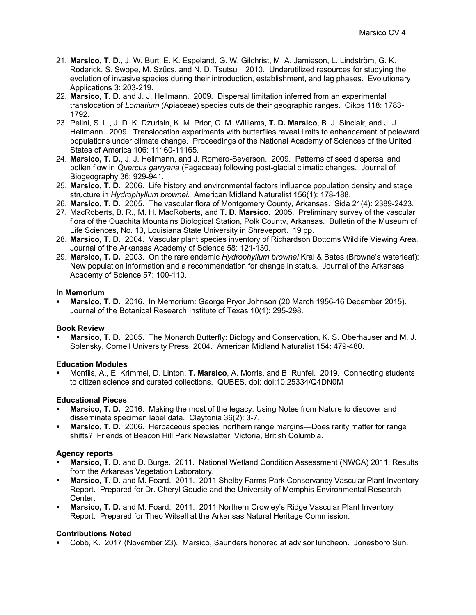- 21. **Marsico, T. D.**, J. W. Burt, E. K. Espeland, G. W. Gilchrist, M. A. Jamieson, L. Lindström, G. K. Roderick, S. Swope, M. Szűcs, and N. D. Tsutsui. 2010. Underutilized resources for studying the evolution of invasive species during their introduction, establishment, and lag phases. Evolutionary Applications 3: 203-219.
- 22. **Marsico, T. D.** and J. J. Hellmann. 2009. Dispersal limitation inferred from an experimental translocation of *Lomatium* (Apiaceae) species outside their geographic ranges. Oikos 118: 1783- 1792.
- 23. Pelini, S. L., J. D. K. Dzurisin, K. M. Prior, C. M. Williams, **T. D. Marsico**, B. J. Sinclair, and J. J. Hellmann. 2009. Translocation experiments with butterflies reveal limits to enhancement of poleward populations under climate change. Proceedings of the National Academy of Sciences of the United States of America 106: 11160-11165.
- 24. **Marsico, T. D.**, J. J. Hellmann, and J. Romero-Severson. 2009. Patterns of seed dispersal and pollen flow in *Quercus garryana* (Fagaceae) following post-glacial climatic changes. Journal of Biogeography 36: 929-941.
- 25. **Marsico, T. D.** 2006. Life history and environmental factors influence population density and stage structure in *Hydrophyllum brownei*. American Midland Naturalist 156(1): 178-188.
- 26. **Marsico, T. D.** 2005. The vascular flora of Montgomery County, Arkansas. Sida 21(4): 2389-2423.
- 27. MacRoberts, B. R., M. H. MacRoberts, and **T. D. Marsico.** 2005. Preliminary survey of the vascular flora of the Ouachita Mountains Biological Station, Polk County, Arkansas. Bulletin of the Museum of Life Sciences, No. 13, Louisiana State University in Shreveport. 19 pp.
- 28. **Marsico, T. D.** 2004. Vascular plant species inventory of Richardson Bottoms Wildlife Viewing Area. Journal of the Arkansas Academy of Science 58: 121-130.
- 29. **Marsico, T. D.** 2003. On the rare endemic *Hydrophyllum brownei* Kral & Bates (Browne's waterleaf): New population information and a recommendation for change in status. Journal of the Arkansas Academy of Science 57: 100-110.

### **In Memorium**

§ **Marsico, T. D.** 2016. In Memorium: George Pryor Johnson (20 March 1956-16 December 2015). Journal of the Botanical Research Institute of Texas 10(1): 295-298.

### **Book Review**

§ **Marsico, T. D.** 2005. The Monarch Butterfly: Biology and Conservation, K. S. Oberhauser and M. J. Solensky, Cornell University Press, 2004. American Midland Naturalist 154: 479-480.

### **Education Modules**

§ Monfils, A., E. Krimmel, D. Linton, **T. Marsico**, A. Morris, and B. Ruhfel. 2019. Connecting students to citizen science and curated collections. QUBES. doi: doi:10.25334/Q4DN0M

### **Educational Pieces**

- **Marsico, T. D.** 2016. Making the most of the legacy: Using Notes from Nature to discover and disseminate specimen label data. Claytonia 36(2): 3-7.
- § **Marsico, T. D.** 2006. Herbaceous species' northern range margins—Does rarity matter for range shifts? Friends of Beacon Hill Park Newsletter. Victoria, British Columbia.

## **Agency reports**

- § **Marsico, T. D.** and D. Burge. 2011. National Wetland Condition Assessment (NWCA) 2011; Results from the Arkansas Vegetation Laboratory.
- § **Marsico, T. D.** and M. Foard. 2011. 2011 Shelby Farms Park Conservancy Vascular Plant Inventory Report. Prepared for Dr. Cheryl Goudie and the University of Memphis Environmental Research Center.
- § **Marsico, T. D.** and M. Foard. 2011. 2011 Northern Crowley's Ridge Vascular Plant Inventory Report. Prepared for Theo Witsell at the Arkansas Natural Heritage Commission.

## **Contributions Noted**

§ Cobb, K. 2017 (November 23). Marsico, Saunders honored at advisor luncheon. Jonesboro Sun.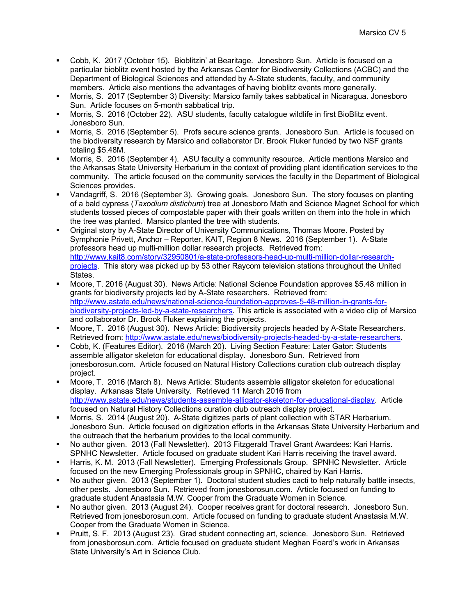- § Cobb, K. 2017 (October 15). Bioblitzin' at Bearitage. Jonesboro Sun. Article is focused on a particular bioblitz event hosted by the Arkansas Center for Biodiversity Collections (ACBC) and the Department of Biological Sciences and attended by A-State students, faculty, and community members. Article also mentions the advantages of having bioblitz events more generally.
- § Morris, S. 2017 (September 3) Diversity: Marsico family takes sabbatical in Nicaragua. Jonesboro Sun. Article focuses on 5-month sabbatical trip.
- § Morris, S. 2016 (October 22). ASU students, faculty catalogue wildlife in first BioBlitz event. Jonesboro Sun.
- § Morris, S. 2016 (September 5). Profs secure science grants. Jonesboro Sun. Article is focused on the biodiversity research by Marsico and collaborator Dr. Brook Fluker funded by two NSF grants totaling \$5.48M.
- § Morris, S. 2016 (September 4). ASU faculty a community resource. Article mentions Marsico and the Arkansas State University Herbarium in the context of providing plant identification services to the community. The article focused on the community services the faculty in the Department of Biological Sciences provides.
- § Vandagriff, S. 2016 (September 3). Growing goals. Jonesboro Sun. The story focuses on planting of a bald cypress (*Taxodium distichum*) tree at Jonesboro Math and Science Magnet School for which students tossed pieces of compostable paper with their goals written on them into the hole in which the tree was planted. Marsico planted the tree with students.
- § Original story by A-State Director of University Communications, Thomas Moore. Posted by Symphonie Privett, Anchor – Reporter, KAIT, Region 8 News. 2016 (September 1). A-State professors head up multi-million dollar research projects. Retrieved from: http://www.kait8.com/story/32950801/a-state-professors-head-up-multi-million-dollar-researchprojects. This story was picked up by 53 other Raycom television stations throughout the United States.
- § Moore, T. 2016 (August 30). News Article: National Science Foundation approves \$5.48 million in grants for biodiversity projects led by A-State researchers. Retrieved from: http://www.astate.edu/news/national-science-foundation-approves-5-48-million-in-grants-forbiodiversity-projects-led-by-a-state-researchers. This article is associated with a video clip of Marsico and collaborator Dr. Brook Fluker explaining the projects.
- § Moore, T. 2016 (August 30). News Article: Biodiversity projects headed by A-State Researchers. Retrieved from: http://www.astate.edu/news/biodiversity-projects-headed-by-a-state-researchers.
- § Cobb, K. (Features Editor). 2016 (March 20). Living Section Feature: Later Gator: Students assemble alligator skeleton for educational display. Jonesboro Sun. Retrieved from jonesborosun.com. Article focused on Natural History Collections curation club outreach display project.
- § Moore, T. 2016 (March 8). News Article: Students assemble alligator skeleton for educational display. Arkansas State University. Retrieved 11 March 2016 from http://www.astate.edu/news/students-assemble-alligator-skeleton-for-educational-display. Article focused on Natural History Collections curation club outreach display project.
- § Morris, S. 2014 (August 20). A-State digitizes parts of plant collection with STAR Herbarium. Jonesboro Sun. Article focused on digitization efforts in the Arkansas State University Herbarium and the outreach that the herbarium provides to the local community.
- § No author given. 2013 (Fall Newsletter). 2013 Fitzgerald Travel Grant Awardees: Kari Harris. SPNHC Newsletter. Article focused on graduate student Kari Harris receiving the travel award.
- § Harris, K. M. 2013 (Fall Newsletter). Emerging Professionals Group. SPNHC Newsletter. Article focused on the new Emerging Professionals group in SPNHC, chaired by Kari Harris.
- § No author given. 2013 (September 1). Doctoral student studies cacti to help naturally battle insects, other pests. Jonesboro Sun. Retrieved from jonesborosun.com. Article focused on funding to graduate student Anastasia M.W. Cooper from the Graduate Women in Science.
- § No author given. 2013 (August 24). Cooper receives grant for doctoral research. Jonesboro Sun. Retrieved from jonesborosun.com. Article focused on funding to graduate student Anastasia M.W. Cooper from the Graduate Women in Science.
- § Pruitt, S. F. 2013 (August 23). Grad student connecting art, science. Jonesboro Sun. Retrieved from jonesborosun.com. Article focused on graduate student Meghan Foard's work in Arkansas State University's Art in Science Club.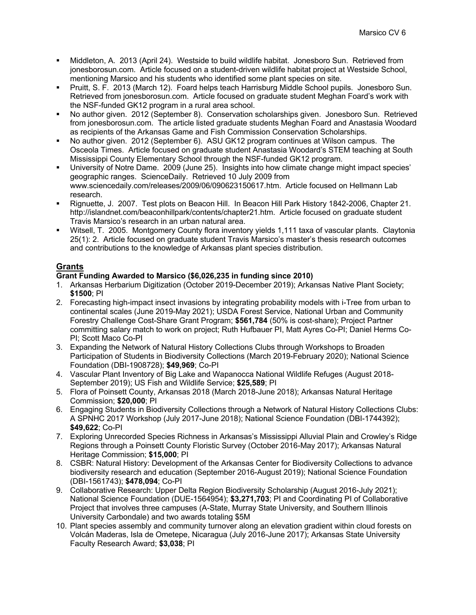- § Middleton, A. 2013 (April 24). Westside to build wildlife habitat. Jonesboro Sun. Retrieved from jonesborosun.com. Article focused on a student-driven wildlife habitat project at Westside School, mentioning Marsico and his students who identified some plant species on site.
- § Pruitt, S. F. 2013 (March 12). Foard helps teach Harrisburg Middle School pupils. Jonesboro Sun. Retrieved from jonesborosun.com. Article focused on graduate student Meghan Foard's work with the NSF-funded GK12 program in a rural area school.
- § No author given. 2012 (September 8). Conservation scholarships given. Jonesboro Sun. Retrieved from jonesborosun.com. The article listed graduate students Meghan Foard and Anastasia Woodard as recipients of the Arkansas Game and Fish Commission Conservation Scholarships.
- § No author given. 2012 (September 6). ASU GK12 program continues at Wilson campus. The Osceola Times. Article focused on graduate student Anastasia Woodard's STEM teaching at South Mississippi County Elementary School through the NSF-funded GK12 program.
- § University of Notre Dame. 2009 (June 25). Insights into how climate change might impact species' geographic ranges. ScienceDaily. Retrieved 10 July 2009 from www.sciencedaily.com/releases/2009/06/090623150617.htm. Article focused on Hellmann Lab research.
- § Rignuette, J. 2007. Test plots on Beacon Hill. In Beacon Hill Park History 1842-2006, Chapter 21. http://islandnet.com/beaconhillpark/contents/chapter21.htm. Article focused on graduate student Travis Marsico's research in an urban natural area.
- Witsell, T. 2005. Montgomery County flora inventory yields 1,111 taxa of vascular plants. Claytonia 25(1): 2. Article focused on graduate student Travis Marsico's master's thesis research outcomes and contributions to the knowledge of Arkansas plant species distribution.

# **Grants**

## **Grant Funding Awarded to Marsico (\$6,026,235 in funding since 2010)**

- 1. Arkansas Herbarium Digitization (October 2019-December 2019); Arkansas Native Plant Society; **\$1500**; PI
- 2. Forecasting high-impact insect invasions by integrating probability models with i-Tree from urban to continental scales (June 2019-May 2021); USDA Forest Service, National Urban and Community Forestry Challenge Cost-Share Grant Program; **\$561,784** (50% is cost-share); Project Partner committing salary match to work on project; Ruth Hufbauer PI, Matt Ayres Co-PI; Daniel Herms Co-PI; Scott Maco Co-PI
- 3. Expanding the Network of Natural History Collections Clubs through Workshops to Broaden Participation of Students in Biodiversity Collections (March 2019-February 2020); National Science Foundation (DBI-1908728); **\$49,969**; Co-PI
- 4. Vascular Plant Inventory of Big Lake and Wapanocca National Wildlife Refuges (August 2018- September 2019); US Fish and Wildlife Service; **\$25,589**; PI
- 5. Flora of Poinsett County, Arkansas 2018 (March 2018-June 2018); Arkansas Natural Heritage Commission; **\$20,000**; PI
- 6. Engaging Students in Biodiversity Collections through a Network of Natural History Collections Clubs: A SPNHC 2017 Workshop (July 2017-June 2018); National Science Foundation (DBI-1744392); **\$49,622**; Co-PI
- 7. Exploring Unrecorded Species Richness in Arkansas's Mississippi Alluvial Plain and Crowley's Ridge Regions through a Poinsett County Floristic Survey (October 2016-May 2017); Arkansas Natural Heritage Commission; **\$15,000**; PI
- 8. CSBR: Natural History: Development of the Arkansas Center for Biodiversity Collections to advance biodiversity research and education (September 2016-August 2019); National Science Foundation (DBI-1561743); **\$478,094**; Co-PI
- 9. Collaborative Research: Upper Delta Region Biodiversity Scholarship (August 2016-July 2021); National Science Foundation (DUE-1564954); **\$3,271,703**; PI and Coordinating PI of Collaborative Project that involves three campuses (A-State, Murray State University, and Southern Illinois University Carbondale) and two awards totaling \$5M
- 10. Plant species assembly and community turnover along an elevation gradient within cloud forests on Volcán Maderas, Isla de Ometepe, Nicaragua (July 2016-June 2017); Arkansas State University Faculty Research Award; **\$3,038**; PI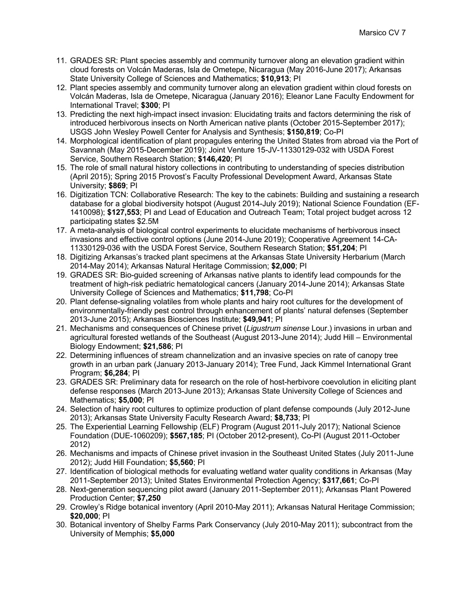- 11. GRADES SR: Plant species assembly and community turnover along an elevation gradient within cloud forests on Volcán Maderas, Isla de Ometepe, Nicaragua (May 2016-June 2017); Arkansas State University College of Sciences and Mathematics; **\$10,913**; PI
- 12. Plant species assembly and community turnover along an elevation gradient within cloud forests on Volcán Maderas, Isla de Ometepe, Nicaragua (January 2016); Eleanor Lane Faculty Endowment for International Travel; **\$300**; PI
- 13. Predicting the next high-impact insect invasion: Elucidating traits and factors determining the risk of introduced herbivorous insects on North American native plants (October 2015-September 2017); USGS John Wesley Powell Center for Analysis and Synthesis; **\$150,819**; Co-PI
- 14. Morphological identification of plant propagules entering the United States from abroad via the Port of Savannah (May 2015-December 2019); Joint Venture 15-JV-11330129-032 with USDA Forest Service, Southern Research Station; **\$146,420**; PI
- 15. The role of small natural history collections in contributing to understanding of species distribution (April 2015); Spring 2015 Provost's Faculty Professional Development Award, Arkansas State University; **\$869**; PI
- 16. Digitization TCN: Collaborative Research: The key to the cabinets: Building and sustaining a research database for a global biodiversity hotspot (August 2014-July 2019); National Science Foundation (EF-1410098); **\$127,553**; PI and Lead of Education and Outreach Team; Total project budget across 12 participating states \$2.5M
- 17. A meta-analysis of biological control experiments to elucidate mechanisms of herbivorous insect invasions and effective control options (June 2014-June 2019); Cooperative Agreement 14-CA-11330129-036 with the USDA Forest Service, Southern Research Station; **\$51,204**; PI
- 18. Digitizing Arkansas's tracked plant specimens at the Arkansas State University Herbarium (March 2014-May 2014); Arkansas Natural Heritage Commission; **\$2,000**; PI
- 19. GRADES SR: Bio-guided screening of Arkansas native plants to identify lead compounds for the treatment of high-risk pediatric hematological cancers (January 2014-June 2014); Arkansas State University College of Sciences and Mathematics; **\$11,798**; Co-PI
- 20. Plant defense-signaling volatiles from whole plants and hairy root cultures for the development of environmentally-friendly pest control through enhancement of plants' natural defenses (September 2013-June 2015); Arkansas Biosciences Institute; **\$49,941**; PI
- 21. Mechanisms and consequences of Chinese privet (*Ligustrum sinense* Lour.) invasions in urban and agricultural forested wetlands of the Southeast (August 2013-June 2014); Judd Hill – Environmental Biology Endowment; **\$21,586**; PI
- 22. Determining influences of stream channelization and an invasive species on rate of canopy tree growth in an urban park (January 2013-January 2014); Tree Fund, Jack Kimmel International Grant Program; **\$6,284**; PI
- 23. GRADES SR: Preliminary data for research on the role of host-herbivore coevolution in eliciting plant defense responses (March 2013-June 2013); Arkansas State University College of Sciences and Mathematics; **\$5,000**; PI
- 24. Selection of hairy root cultures to optimize production of plant defense compounds (July 2012-June 2013); Arkansas State University Faculty Research Award; **\$8,733**; PI
- 25. The Experiential Learning Fellowship (ELF) Program (August 2011-July 2017); National Science Foundation (DUE-1060209); **\$567,185**; PI (October 2012-present), Co-PI (August 2011-October 2012)
- 26. Mechanisms and impacts of Chinese privet invasion in the Southeast United States (July 2011-June 2012); Judd Hill Foundation; **\$5,560**; PI
- 27. Identification of biological methods for evaluating wetland water quality conditions in Arkansas (May 2011-September 2013); United States Environmental Protection Agency; **\$317,661**; Co-PI
- 28. Next-generation sequencing pilot award (January 2011-September 2011); Arkansas Plant Powered Production Center; **\$7,250**
- 29. Crowley's Ridge botanical inventory (April 2010-May 2011); Arkansas Natural Heritage Commission; **\$20,000**; PI
- 30. Botanical inventory of Shelby Farms Park Conservancy (July 2010-May 2011); subcontract from the University of Memphis; **\$5,000**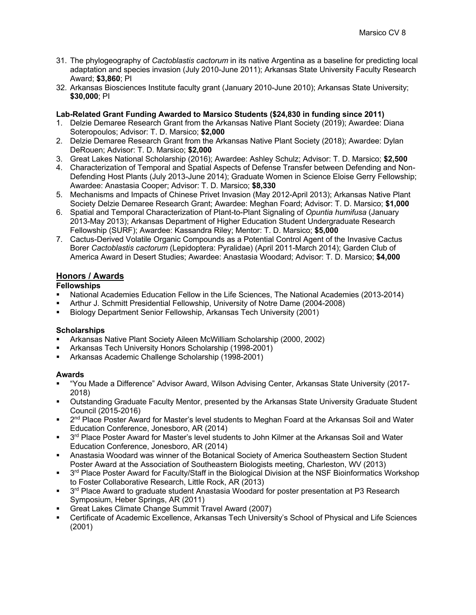- 31. The phylogeography of *Cactoblastis cactorum* in its native Argentina as a baseline for predicting local adaptation and species invasion (July 2010-June 2011); Arkansas State University Faculty Research Award; **\$3,860**; PI
- 32. Arkansas Biosciences Institute faculty grant (January 2010-June 2010); Arkansas State University; **\$30,000**; PI

### **Lab-Related Grant Funding Awarded to Marsico Students (\$24,830 in funding since 2011)**

- 1. Delzie Demaree Research Grant from the Arkansas Native Plant Society (2019); Awardee: Diana Soteropoulos; Advisor: T. D. Marsico; **\$2,000**
- 2. Delzie Demaree Research Grant from the Arkansas Native Plant Society (2018); Awardee: Dylan DeRouen; Advisor: T. D. Marsico; **\$2,000**
- 3. Great Lakes National Scholarship (2016); Awardee: Ashley Schulz; Advisor: T. D. Marsico; **\$2,500**
- 4. Characterization of Temporal and Spatial Aspects of Defense Transfer between Defending and Non-Defending Host Plants (July 2013-June 2014); Graduate Women in Science Eloise Gerry Fellowship; Awardee: Anastasia Cooper; Advisor: T. D. Marsico; **\$8,330**
- 5. Mechanisms and Impacts of Chinese Privet Invasion (May 2012-April 2013); Arkansas Native Plant Society Delzie Demaree Research Grant; Awardee: Meghan Foard; Advisor: T. D. Marsico; **\$1,000**
- 6. Spatial and Temporal Characterization of Plant-to-Plant Signaling of *Opuntia humifusa* (January 2013-May 2013); Arkansas Department of Higher Education Student Undergraduate Research Fellowship (SURF); Awardee: Kassandra Riley; Mentor: T. D. Marsico; **\$5,000**
- 7. Cactus-Derived Volatile Organic Compounds as a Potential Control Agent of the Invasive Cactus Borer *Cactoblastis cactorum* (Lepidoptera: Pyralidae) (April 2011-March 2014); Garden Club of America Award in Desert Studies; Awardee: Anastasia Woodard; Advisor: T. D. Marsico; **\$4,000**

## **Honors / Awards**

## **Fellowships**

- § National Academies Education Fellow in the Life Sciences, The National Academies (2013-2014)
- § Arthur J. Schmitt Presidential Fellowship, University of Notre Dame (2004-2008)
- § Biology Department Senior Fellowship, Arkansas Tech University (2001)

## **Scholarships**

- § Arkansas Native Plant Society Aileen McWilliam Scholarship (2000, 2002)
- § Arkansas Tech University Honors Scholarship (1998-2001)
- § Arkansas Academic Challenge Scholarship (1998-2001)

### **Awards**

- § "You Made a Difference" Advisor Award, Wilson Advising Center, Arkansas State University (2017- 2018)
- § Outstanding Graduate Faculty Mentor, presented by the Arkansas State University Graduate Student Council (2015-2016)
- 2<sup>nd</sup> Place Poster Award for Master's level students to Meghan Foard at the Arkansas Soil and Water Education Conference, Jonesboro, AR (2014)
- 3<sup>rd</sup> Place Poster Award for Master's level students to John Kilmer at the Arkansas Soil and Water Education Conference, Jonesboro, AR (2014)
- § Anastasia Woodard was winner of the Botanical Society of America Southeastern Section Student Poster Award at the Association of Southeastern Biologists meeting, Charleston, WV (2013)
- 3<sup>rd</sup> Place Poster Award for Faculty/Staff in the Biological Division at the NSF Bioinformatics Workshop to Foster Collaborative Research, Little Rock, AR (2013)
- 3<sup>rd</sup> Place Award to graduate student Anastasia Woodard for poster presentation at P3 Research Symposium, Heber Springs, AR (2011)
- § Great Lakes Climate Change Summit Travel Award (2007)
- § Certificate of Academic Excellence, Arkansas Tech University's School of Physical and Life Sciences (2001)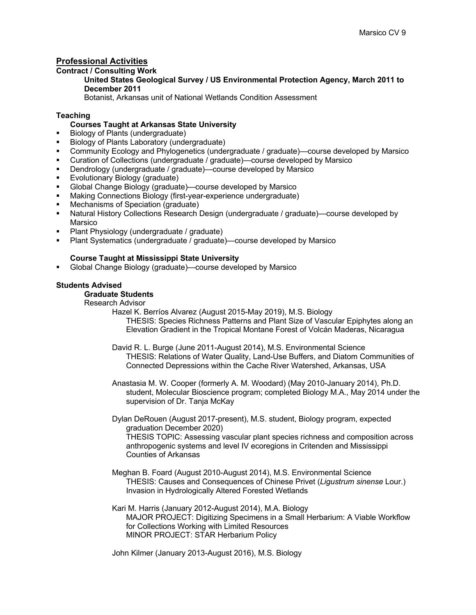# **Professional Activities**

#### **Contract / Consulting Work**

**United States Geological Survey / US Environmental Protection Agency, March 2011 to December 2011** 

Botanist, Arkansas unit of National Wetlands Condition Assessment

### **Teaching**

### **Courses Taught at Arkansas State University**

- § Biology of Plants (undergraduate)
- § Biology of Plants Laboratory (undergraduate)
- § Community Ecology and Phylogenetics (undergraduate / graduate)—course developed by Marsico
- § Curation of Collections (undergraduate / graduate)—course developed by Marsico
- § Dendrology (undergraduate / graduate)—course developed by Marsico
- Evolutionary Biology (graduate)
- § Global Change Biology (graduate)—course developed by Marsico
- Making Connections Biology (first-year-experience undergraduate)
- § Mechanisms of Speciation (graduate)
- Natural History Collections Research Design (undergraduate / graduate)—course developed by Marsico
- § Plant Physiology (undergraduate / graduate)
- Plant Systematics (undergraduate / graduate)—course developed by Marsico

### **Course Taught at Mississippi State University**

§ Global Change Biology (graduate)—course developed by Marsico

### **Students Advised**

# **Graduate Students**

Research Advisor

Hazel K. Berríos Alvarez (August 2015-May 2019), M.S. Biology THESIS: Species Richness Patterns and Plant Size of Vascular Epiphytes along an Elevation Gradient in the Tropical Montane Forest of Volcán Maderas, Nicaragua

- David R. L. Burge (June 2011-August 2014), M.S. Environmental Science THESIS: Relations of Water Quality, Land-Use Buffers, and Diatom Communities of Connected Depressions within the Cache River Watershed, Arkansas, USA
- Anastasia M. W. Cooper (formerly A. M. Woodard) (May 2010-January 2014), Ph.D. student, Molecular Bioscience program; completed Biology M.A., May 2014 under the supervision of Dr. Tanja McKay
- Dylan DeRouen (August 2017-present), M.S. student, Biology program, expected graduation December 2020) THESIS TOPIC: Assessing vascular plant species richness and composition across anthropogenic systems and level IV ecoregions in Critenden and Mississippi Counties of Arkansas
- Meghan B. Foard (August 2010-August 2014), M.S. Environmental Science THESIS: Causes and Consequences of Chinese Privet (*Ligustrum sinense* Lour.) Invasion in Hydrologically Altered Forested Wetlands
- Kari M. Harris (January 2012-August 2014), M.A. Biology MAJOR PROJECT: Digitizing Specimens in a Small Herbarium: A Viable Workflow for Collections Working with Limited Resources MINOR PROJECT: STAR Herbarium Policy

John Kilmer (January 2013-August 2016), M.S. Biology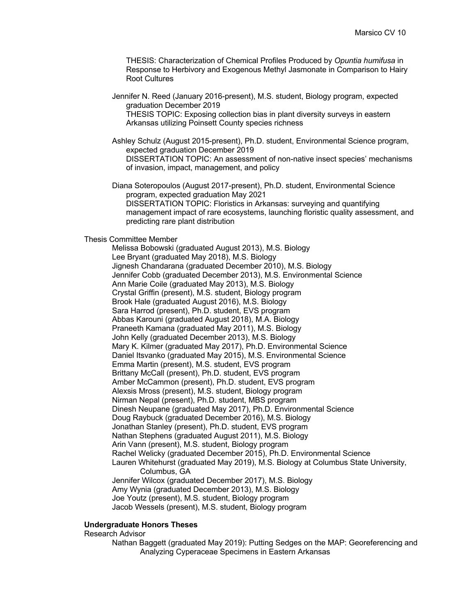THESIS: Characterization of Chemical Profiles Produced by *Opuntia humifusa* in Response to Herbivory and Exogenous Methyl Jasmonate in Comparison to Hairy Root Cultures

- Jennifer N. Reed (January 2016-present), M.S. student, Biology program, expected graduation December 2019 THESIS TOPIC: Exposing collection bias in plant diversity surveys in eastern Arkansas utilizing Poinsett County species richness
- Ashley Schulz (August 2015-present), Ph.D. student, Environmental Science program, expected graduation December 2019 DISSERTATION TOPIC: An assessment of non-native insect species' mechanisms of invasion, impact, management, and policy
- Diana Soteropoulos (August 2017-present), Ph.D. student, Environmental Science program, expected graduation May 2021 DISSERTATION TOPIC: Floristics in Arkansas: surveying and quantifying management impact of rare ecosystems, launching floristic quality assessment, and predicting rare plant distribution

#### Thesis Committee Member

Melissa Bobowski (graduated August 2013), M.S. Biology Lee Bryant (graduated May 2018), M.S. Biology Jignesh Chandarana (graduated December 2010), M.S. Biology Jennifer Cobb (graduated December 2013), M.S. Environmental Science Ann Marie Coile (graduated May 2013), M.S. Biology Crystal Griffin (present), M.S. student, Biology program Brook Hale (graduated August 2016), M.S. Biology Sara Harrod (present), Ph.D. student, EVS program Abbas Karouni (graduated August 2018), M.A. Biology Praneeth Kamana (graduated May 2011), M.S. Biology John Kelly (graduated December 2013), M.S. Biology Mary K. Kilmer (graduated May 2017), Ph.D. Environmental Science Daniel Itsvanko (graduated May 2015), M.S. Environmental Science Emma Martin (present), M.S. student, EVS program Brittany McCall (present), Ph.D. student, EVS program Amber McCammon (present), Ph.D. student, EVS program Alexsis Mross (present), M.S. student, Biology program Nirman Nepal (present), Ph.D. student, MBS program Dinesh Neupane (graduated May 2017), Ph.D. Environmental Science Doug Raybuck (graduated December 2016), M.S. Biology Jonathan Stanley (present), Ph.D. student, EVS program Nathan Stephens (graduated August 2011), M.S. Biology Arin Vann (present), M.S. student, Biology program Rachel Welicky (graduated December 2015), Ph.D. Environmental Science Lauren Whitehurst (graduated May 2019), M.S. Biology at Columbus State University, Columbus, GA Jennifer Wilcox (graduated December 2017), M.S. Biology Amy Wynia (graduated December 2013), M.S. Biology Joe Youtz (present), M.S. student, Biology program Jacob Wessels (present), M.S. student, Biology program

#### **Undergraduate Honors Theses**

#### Research Advisor

Nathan Baggett (graduated May 2019): Putting Sedges on the MAP: Georeferencing and Analyzing Cyperaceae Specimens in Eastern Arkansas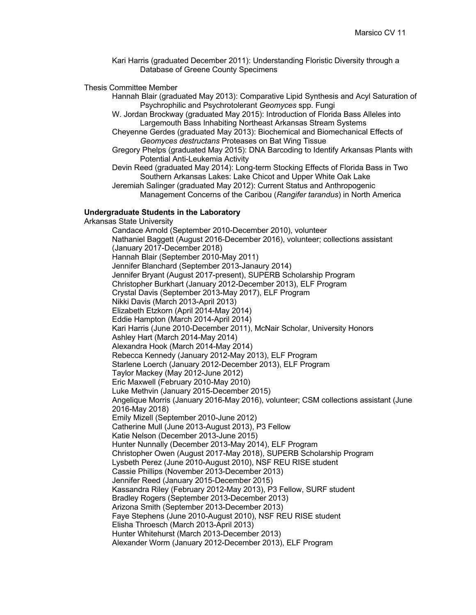Kari Harris (graduated December 2011): Understanding Floristic Diversity through a Database of Greene County Specimens

#### Thesis Committee Member

- Hannah Blair (graduated May 2013): Comparative Lipid Synthesis and Acyl Saturation of Psychrophilic and Psychrotolerant *Geomyces* spp. Fungi
- W. Jordan Brockway (graduated May 2015): Introduction of Florida Bass Alleles into Largemouth Bass Inhabiting Northeast Arkansas Stream Systems
- Cheyenne Gerdes (graduated May 2013): Biochemical and Biomechanical Effects of *Geomyces destructans* Proteases on Bat Wing Tissue
- Gregory Phelps (graduated May 2015): DNA Barcoding to Identify Arkansas Plants with Potential Anti-Leukemia Activity
- Devin Reed (graduated May 2014): Long-term Stocking Effects of Florida Bass in Two Southern Arkansas Lakes: Lake Chicot and Upper White Oak Lake
- Jeremiah Salinger (graduated May 2012): Current Status and Anthropogenic Management Concerns of the Caribou (*Rangifer tarandus*) in North America

#### **Undergraduate Students in the Laboratory**

Arkansas State University Candace Arnold (September 2010-December 2010), volunteer Nathaniel Baggett (August 2016-December 2016), volunteer; collections assistant (January 2017-December 2018) Hannah Blair (September 2010-May 2011) Jennifer Blanchard (September 2013-Janaury 2014) Jennifer Bryant (August 2017-present), SUPERB Scholarship Program Christopher Burkhart (January 2012-December 2013), ELF Program Crystal Davis (September 2013-May 2017), ELF Program Nikki Davis (March 2013-April 2013) Elizabeth Etzkorn (April 2014-May 2014) Eddie Hampton (March 2014-April 2014) Kari Harris (June 2010-December 2011), McNair Scholar, University Honors Ashley Hart (March 2014-May 2014) Alexandra Hook (March 2014-May 2014) Rebecca Kennedy (January 2012-May 2013), ELF Program Starlene Loerch (January 2012-December 2013), ELF Program Taylor Mackey (May 2012-June 2012) Eric Maxwell (February 2010-May 2010) Luke Methvin (January 2015-December 2015) Angelique Morris (January 2016-May 2016), volunteer; CSM collections assistant (June 2016-May 2018) Emily Mizell (September 2010-June 2012) Catherine Mull (June 2013-August 2013), P3 Fellow Katie Nelson (December 2013-June 2015) Hunter Nunnally (December 2013-May 2014), ELF Program Christopher Owen (August 2017-May 2018), SUPERB Scholarship Program Lysbeth Perez (June 2010-August 2010), NSF REU RISE student Cassie Phillips (November 2013-December 2013) Jennifer Reed (January 2015-December 2015) Kassandra Riley (February 2012-May 2013), P3 Fellow, SURF student Bradley Rogers (September 2013-December 2013) Arizona Smith (September 2013-December 2013) Faye Stephens (June 2010-August 2010), NSF REU RISE student Elisha Throesch (March 2013-April 2013) Hunter Whitehurst (March 2013-December 2013) Alexander Worm (January 2012-December 2013), ELF Program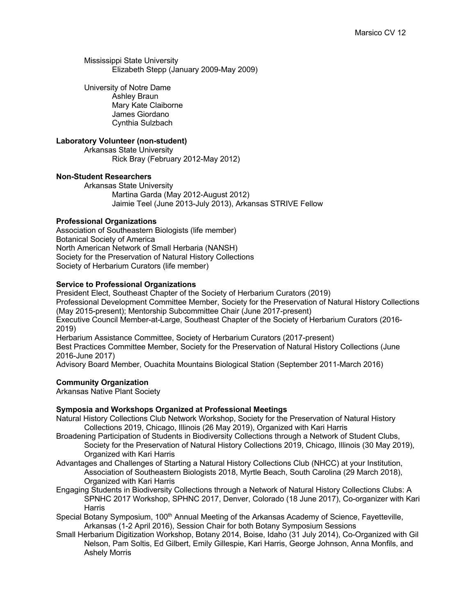Mississippi State University Elizabeth Stepp (January 2009-May 2009)

University of Notre Dame Ashley Braun Mary Kate Claiborne James Giordano Cynthia Sulzbach

### **Laboratory Volunteer (non-student)**

Arkansas State University Rick Bray (February 2012-May 2012)

### **Non-Student Researchers**

Arkansas State University Martina Garda (May 2012-August 2012) Jaimie Teel (June 2013-July 2013), Arkansas STRIVE Fellow

### **Professional Organizations**

Association of Southeastern Biologists (life member) Botanical Society of America North American Network of Small Herbaria (NANSH) Society for the Preservation of Natural History Collections Society of Herbarium Curators (life member)

### **Service to Professional Organizations**

President Elect, Southeast Chapter of the Society of Herbarium Curators (2019) Professional Development Committee Member, Society for the Preservation of Natural History Collections (May 2015-present); Mentorship Subcommittee Chair (June 2017-present) Executive Council Member-at-Large, Southeast Chapter of the Society of Herbarium Curators (2016- 2019) Herbarium Assistance Committee, Society of Herbarium Curators (2017-present)

Best Practices Committee Member, Society for the Preservation of Natural History Collections (June 2016-June 2017)

Advisory Board Member, Ouachita Mountains Biological Station (September 2011-March 2016)

### **Community Organization**

Arkansas Native Plant Society

### **Symposia and Workshops Organized at Professional Meetings**

- Natural History Collections Club Network Workshop, Society for the Preservation of Natural History Collections 2019, Chicago, Illinois (26 May 2019), Organized with Kari Harris
- Broadening Participation of Students in Biodiversity Collections through a Network of Student Clubs, Society for the Preservation of Natural History Collections 2019, Chicago, Illinois (30 May 2019), Organized with Kari Harris
- Advantages and Challenges of Starting a Natural History Collections Club (NHCC) at your Institution, Association of Southeastern Biologists 2018, Myrtle Beach, South Carolina (29 March 2018), Organized with Kari Harris
- Engaging Students in Biodiversity Collections through a Network of Natural History Collections Clubs: A SPNHC 2017 Workshop, SPHNC 2017, Denver, Colorado (18 June 2017), Co-organizer with Kari **Harris**
- Special Botany Symposium, 100<sup>th</sup> Annual Meeting of the Arkansas Academy of Science, Fayetteville, Arkansas (1-2 April 2016), Session Chair for both Botany Symposium Sessions
- Small Herbarium Digitization Workshop, Botany 2014, Boise, Idaho (31 July 2014), Co-Organized with Gil Nelson, Pam Soltis, Ed Gilbert, Emily Gillespie, Kari Harris, George Johnson, Anna Monfils, and Ashely Morris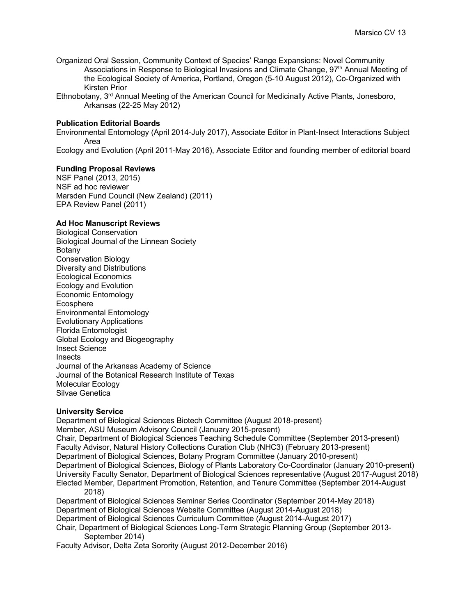- Organized Oral Session, Community Context of Species' Range Expansions: Novel Community Associations in Response to Biological Invasions and Climate Change, 97<sup>th</sup> Annual Meeting of the Ecological Society of America, Portland, Oregon (5-10 August 2012), Co-Organized with Kirsten Prior
- Ethnobotany, 3rd Annual Meeting of the American Council for Medicinally Active Plants, Jonesboro, Arkansas (22-25 May 2012)

### **Publication Editorial Boards**

Environmental Entomology (April 2014-July 2017), Associate Editor in Plant-Insect Interactions Subject Area

Ecology and Evolution (April 2011-May 2016), Associate Editor and founding member of editorial board

#### **Funding Proposal Reviews**

NSF Panel (2013, 2015) NSF ad hoc reviewer Marsden Fund Council (New Zealand) (2011) EPA Review Panel (2011)

#### **Ad Hoc Manuscript Reviews**

Biological Conservation Biological Journal of the Linnean Society Botany Conservation Biology Diversity and Distributions Ecological Economics Ecology and Evolution Economic Entomology **Ecosphere** Environmental Entomology Evolutionary Applications Florida Entomologist Global Ecology and Biogeography Insect Science **Insects** Journal of the Arkansas Academy of Science Journal of the Botanical Research Institute of Texas Molecular Ecology Silvae Genetica

#### **University Service**

Department of Biological Sciences Biotech Committee (August 2018-present) Member, ASU Museum Advisory Council (January 2015-present) Chair, Department of Biological Sciences Teaching Schedule Committee (September 2013-present) Faculty Advisor, Natural History Collections Curation Club (NHC3) (February 2013-present) Department of Biological Sciences, Botany Program Committee (January 2010-present) Department of Biological Sciences, Biology of Plants Laboratory Co-Coordinator (January 2010-present) University Faculty Senator, Department of Biological Sciences representative (August 2017-August 2018) Elected Member, Department Promotion, Retention, and Tenure Committee (September 2014-August 2018) Department of Biological Sciences Seminar Series Coordinator (September 2014-May 2018) Department of Biological Sciences Website Committee (August 2014-August 2018) Department of Biological Sciences Curriculum Committee (August 2014-August 2017)

Chair, Department of Biological Sciences Long-Term Strategic Planning Group (September 2013- September 2014)

Faculty Advisor, Delta Zeta Sorority (August 2012-December 2016)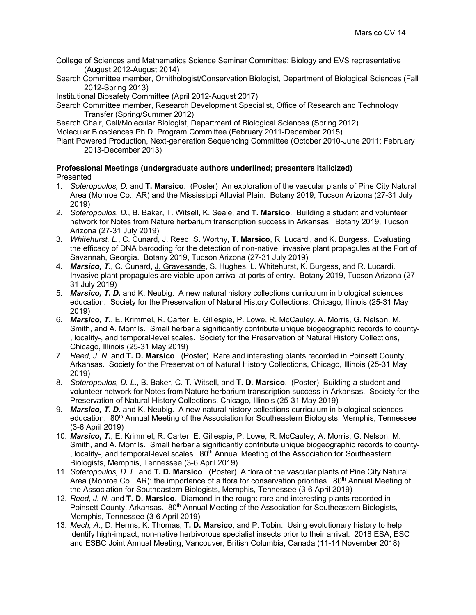College of Sciences and Mathematics Science Seminar Committee; Biology and EVS representative (August 2012-August 2014)

Search Committee member, Ornithologist/Conservation Biologist, Department of Biological Sciences (Fall 2012-Spring 2013)

Institutional Biosafety Committee (April 2012-August 2017)

Search Committee member, Research Development Specialist, Office of Research and Technology Transfer (Spring/Summer 2012)

Search Chair, Cell/Molecular Biologist, Department of Biological Sciences (Spring 2012)

Molecular Biosciences Ph.D. Program Committee (February 2011-December 2015)

Plant Powered Production, Next-generation Sequencing Committee (October 2010-June 2011; February 2013-December 2013)

### **Professional Meetings (undergraduate authors underlined; presenters italicized)** Presented

- 1. *Soteropoulos, D.* and **T. Marsico**. (Poster) An exploration of the vascular plants of Pine City Natural Area (Monroe Co., AR) and the Mississippi Alluvial Plain. Botany 2019, Tucson Arizona (27-31 July 2019)
- 2. *Soteropoulos, D.*, B. Baker, T. Witsell, K. Seale, and **T. Marsico**. Building a student and volunteer network for Notes from Nature herbarium transcription success in Arkansas. Botany 2019, Tucson Arizona (27-31 July 2019)
- 3. *Whitehurst, L.*, C. Cunard, J. Reed, S. Worthy, **T. Marsico**, R. Lucardi, and K. Burgess. Evaluating the efficacy of DNA barcoding for the detection of non-native, invasive plant propagules at the Port of Savannah, Georgia. Botany 2019, Tucson Arizona (27-31 July 2019)
- 4. *Marsico, T.*, C. Cunard, J. Gravesande, S. Hughes, L. Whitehurst, K. Burgess, and R. Lucardi. Invasive plant propagules are viable upon arrival at ports of entry. Botany 2019, Tucson Arizona (27- 31 July 2019)
- 5. *Marsico, T. D.* and K. Neubig. A new natural history collections curriculum in biological sciences education. Society for the Preservation of Natural History Collections, Chicago, Illinois (25-31 May 2019)
- 6. *Marsico, T.*, E. Krimmel, R. Carter, E. Gillespie, P. Lowe, R. McCauley, A. Morris, G. Nelson, M. Smith, and A. Monfils. Small herbaria significantly contribute unique biogeographic records to county- , locality-, and temporal-level scales. Society for the Preservation of Natural History Collections, Chicago, Illinois (25-31 May 2019)
- 7. *Reed, J. N.* and **T. D. Marsico**. (Poster) Rare and interesting plants recorded in Poinsett County, Arkansas. Society for the Preservation of Natural History Collections, Chicago, Illinois (25-31 May 2019)
- 8. *Soteropoulos, D. L.*, B. Baker, C. T. Witsell, and **T. D. Marsico**. (Poster) Building a student and volunteer network for Notes from Nature herbarium transcription success in Arkansas. Society for the Preservation of Natural History Collections, Chicago, Illinois (25-31 May 2019)
- 9. *Marsico, T. D.* and K. Neubig. A new natural history collections curriculum in biological sciences education. 80<sup>th</sup> Annual Meeting of the Association for Southeastern Biologists, Memphis, Tennessee (3-6 April 2019)
- 10. *Marsico, T.*, E. Krimmel, R. Carter, E. Gillespie, P. Lowe, R. McCauley, A. Morris, G. Nelson, M. Smith, and A. Monfils. Small herbaria significantly contribute unique biogeographic records to county- , locality-, and temporal-level scales. 80<sup>th</sup> Annual Meeting of the Association for Southeastern Biologists, Memphis, Tennessee (3-6 April 2019)
- 11. *Soteropoulos, D. L.* and **T. D. Marsico**. (Poster) A flora of the vascular plants of Pine City Natural Area (Monroe Co., AR): the importance of a flora for conservation priorities. 80<sup>th</sup> Annual Meeting of the Association for Southeastern Biologists, Memphis, Tennessee (3-6 April 2019)
- 12. *Reed, J. N.* and **T. D. Marsico**. Diamond in the rough: rare and interesting plants recorded in Poinsett County, Arkansas. 80<sup>th</sup> Annual Meeting of the Association for Southeastern Biologists, Memphis, Tennessee (3-6 April 2019)
- 13. *Mech, A.*, D. Herms, K. Thomas, **T. D. Marsico**, and P. Tobin. Using evolutionary history to help identify high-impact, non-native herbivorous specialist insects prior to their arrival. 2018 ESA, ESC and ESBC Joint Annual Meeting, Vancouver, British Columbia, Canada (11-14 November 2018)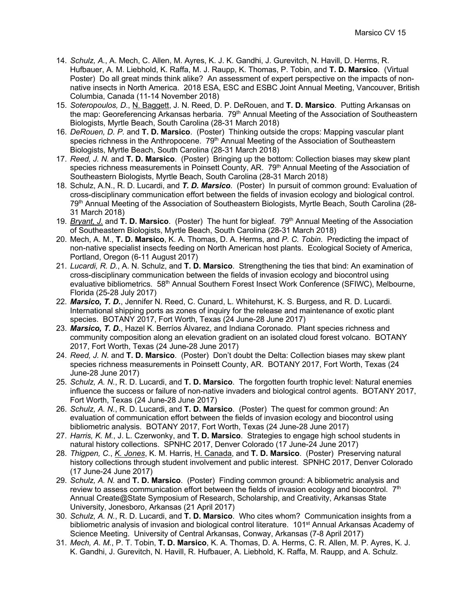- 14. *Schulz, A.*, A. Mech, C. Allen, M. Ayres, K. J. K. Gandhi, J. Gurevitch, N. Havill, D. Herms, R. Hufbauer, A. M. Liebhold, K. Raffa, M. J. Raupp, K. Thomas, P. Tobin, and **T. D. Marsico**. (Virtual Poster) Do all great minds think alike? An assessment of expert perspective on the impacts of nonnative insects in North America. 2018 ESA, ESC and ESBC Joint Annual Meeting, Vancouver, British Columbia, Canada (11-14 November 2018)
- 15. *Soteropoulos, D*., N. Baggett, J. N. Reed, D. P. DeRouen, and **T. D. Marsico**. Putting Arkansas on the map: Georeferencing Arkansas herbaria. 79<sup>th</sup> Annual Meeting of the Association of Southeastern Biologists, Myrtle Beach, South Carolina (28-31 March 2018)
- 16. *DeRouen, D. P.* and **T. D. Marsico**. (Poster) Thinking outside the crops: Mapping vascular plant species richness in the Anthropocene. 79<sup>th</sup> Annual Meeting of the Association of Southeastern Biologists, Myrtle Beach, South Carolina (28-31 March 2018)
- 17. *Reed, J. N.* and **T. D. Marsico**. (Poster) Bringing up the bottom: Collection biases may skew plant species richness measurements in Poinsett County, AR. 79<sup>th</sup> Annual Meeting of the Association of Southeastern Biologists, Myrtle Beach, South Carolina (28-31 March 2018)
- 18. Schulz, A.N., R. D. Lucardi, and *T. D. Marsico*. (Poster) In pursuit of common ground: Evaluation of cross-disciplinary communication effort between the fields of invasion ecology and biological control. 79th Annual Meeting of the Association of Southeastern Biologists, Myrtle Beach, South Carolina (28- 31 March 2018)
- 19. *Bryant, J.* and **T. D. Marsico**. (Poster) The hunt for bigleaf. 79th Annual Meeting of the Association of Southeastern Biologists, Myrtle Beach, South Carolina (28-31 March 2018)
- 20. Mech, A. M., **T. D. Marsico**, K. A. Thomas, D. A. Herms, and *P. C. Tobin*. Predicting the impact of non-native specialist insects feeding on North American host plants. Ecological Society of America, Portland, Oregon (6-11 August 2017)
- 21. *Lucardi, R. D.*, A. N. Schulz, and **T. D. Marsico**. Strengthening the ties that bind: An examination of cross-disciplinary communication between the fields of invasion ecology and biocontrol using evaluative bibliometrics. 58<sup>th</sup> Annual Southern Forest Insect Work Conference (SFIWC), Melbourne, Florida (25-28 July 2017)
- 22. *Marsico, T. D.*, Jennifer N. Reed, C. Cunard, L. Whitehurst, K. S. Burgess, and R. D. Lucardi. International shipping ports as zones of inquiry for the release and maintenance of exotic plant species. BOTANY 2017, Fort Worth, Texas (24 June-28 June 2017)
- 23. *Marsico, T. D.*, Hazel K. Berríos Álvarez, and Indiana Coronado. Plant species richness and community composition along an elevation gradient on an isolated cloud forest volcano. BOTANY 2017, Fort Worth, Texas (24 June-28 June 2017)
- 24. *Reed, J. N.* and **T. D. Marsico**. (Poster) Don't doubt the Delta: Collection biases may skew plant species richness measurements in Poinsett County, AR. BOTANY 2017, Fort Worth, Texas (24 June-28 June 2017)
- 25. *Schulz, A. N.*, R. D. Lucardi, and **T. D. Marsico**. The forgotten fourth trophic level: Natural enemies influence the success or failure of non-native invaders and biological control agents. BOTANY 2017, Fort Worth, Texas (24 June-28 June 2017)
- 26. *Schulz, A. N.*, R. D. Lucardi, and **T. D. Marsico**. (Poster) The quest for common ground: An evaluation of communication effort between the fields of invasion ecology and biocontrol using bibliometric analysis. BOTANY 2017, Fort Worth, Texas (24 June-28 June 2017)
- 27. *Harris, K. M.*, J. L. Czerwonky, and **T. D. Marsico**. Strategies to engage high school students in natural history collections. SPNHC 2017, Denver Colorado (17 June-24 June 2017)
- 28. *Thigpen, C.*, *K. Jones*, K. M. Harris, H. Canada, and **T. D. Marsico**. (Poster) Preserving natural history collections through student involvement and public interest. SPNHC 2017, Denver Colorado (17 June-24 June 2017)
- 29. *Schulz, A. N.* and **T. D. Marsico**. (Poster) Finding common ground: A bibliometric analysis and review to assess communication effort between the fields of invasion ecology and biocontrol.  $7<sup>th</sup>$ Annual Create@State Symposium of Research, Scholarship, and Creativity, Arkansas State University, Jonesboro, Arkansas (21 April 2017)
- 30. *Schulz, A. N.*, R. D. Lucardi, and **T. D. Marsico**. Who cites whom? Communication insights from a bibliometric analysis of invasion and biological control literature. 101<sup>st</sup> Annual Arkansas Academy of Science Meeting. University of Central Arkansas, Conway, Arkansas (7-8 April 2017)
- 31. *Mech, A. M.*, P. T. Tobin, **T. D. Marsico**, K. A. Thomas, D. A. Herms, C. R. Allen, M. P. Ayres, K. J. K. Gandhi, J. Gurevitch, N. Havill, R. Hufbauer, A. Liebhold, K. Raffa, M. Raupp, and A. Schulz.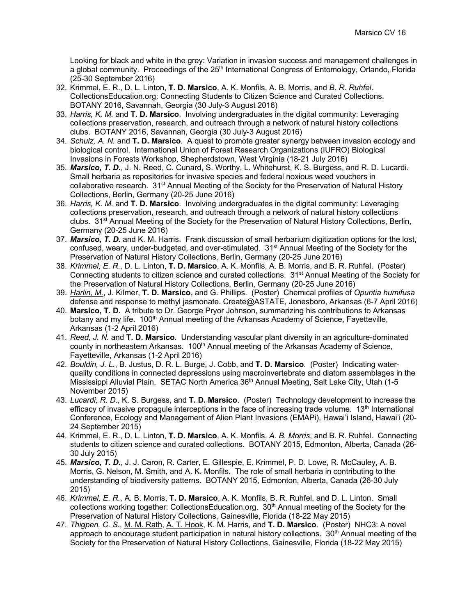Looking for black and white in the grey: Variation in invasion success and management challenges in a global community. Proceedings of the 25<sup>th</sup> International Congress of Entomology, Orlando, Florida (25-30 September 2016)

- 32. Krimmel, E. R., D. L. Linton, **T. D. Marsico**, A. K. Monfils, A. B. Morris, and *B. R. Ruhfel*. CollectionsEducation.org: Connecting Students to Citizen Science and Curated Collections. BOTANY 2016, Savannah, Georgia (30 July-3 August 2016)
- 33. *Harris, K. M.* and **T. D. Marsico**. Involving undergraduates in the digital community: Leveraging collections preservation, research, and outreach through a network of natural history collections clubs. BOTANY 2016, Savannah, Georgia (30 July-3 August 2016)
- 34. *Schulz, A. N.* and **T. D. Marsico**. A quest to promote greater synergy between invasion ecology and biological control. International Union of Forest Research Organizations (IUFRO) Biological Invasions in Forests Workshop, Shepherdstown, West Virginia (18-21 July 2016)
- 35. *Marsico, T. D.*, J. N. Reed, C. Cunard, S. Worthy, L. Whitehurst, K. S. Burgess, and R. D. Lucardi. Small herbaria as repositories for invasive species and federal noxious weed vouchers in collaborative research. 31<sup>st</sup> Annual Meeting of the Society for the Preservation of Natural History Collections, Berlin, Germany (20-25 June 2016)
- 36. *Harris, K. M.* and **T. D. Marsico**. Involving undergraduates in the digital community: Leveraging collections preservation, research, and outreach through a network of natural history collections clubs. 31<sup>st</sup> Annual Meeting of the Society for the Preservation of Natural History Collections, Berlin, Germany (20-25 June 2016)
- 37. *Marsico, T. D.* and K. M. Harris. Frank discussion of small herbarium digitization options for the lost, confused, weary, under-budgeted, and over-stimulated. 31<sup>st</sup> Annual Meeting of the Society for the Preservation of Natural History Collections, Berlin, Germany (20-25 June 2016)
- 38. *Krimmel, E. R.*, D. L. Linton, **T. D. Marsico**, A. K. Monfils, A. B. Morris, and B. R. Ruhfel. (Poster) Connecting students to citizen science and curated collections. 31st Annual Meeting of the Society for the Preservation of Natural History Collections, Berlin, Germany (20-25 June 2016)
- 39. *Harlin, M.*, J. Kilmer, **T. D. Marsico**, and G. Phillips. (Poster) Chemical profiles of *Opuntia humifusa* defense and response to methyl jasmonate. Create@ASTATE, Jonesboro, Arkansas (6-7 April 2016)
- 40. **Marsico, T. D.** A tribute to Dr. George Pryor Johnson, summarizing his contributions to Arkansas botany and my life. 100<sup>th</sup> Annual meeting of the Arkansas Academy of Science, Fayetteville, Arkansas (1-2 April 2016)
- 41. *Reed, J. N.* and **T. D. Marsico**. Understanding vascular plant diversity in an agriculture-dominated county in northeastern Arkansas.  $100<sup>th</sup>$  Annual meeting of the Arkansas Academy of Science, Fayetteville, Arkansas (1-2 April 2016)
- 42. *Bouldin, J. L.*, B. Justus, D. R. L. Burge, J. Cobb, and **T. D. Marsico**. (Poster) Indicating waterquality conditions in connected depressions using macroinvertebrate and diatom assemblages in the Mississippi Alluvial Plain. SETAC North America 36<sup>th</sup> Annual Meeting, Salt Lake City, Utah (1-5 November 2015)
- 43. *Lucardi, R. D.*, K. S. Burgess, and **T. D. Marsico**. (Poster) Technology development to increase the efficacy of invasive propagule interceptions in the face of increasing trade volume.  $13<sup>th</sup>$  International Conference, Ecology and Management of Alien Plant Invasions (EMAPi), Hawai'i Island, Hawai'i (20- 24 September 2015)
- 44. Krimmel, E. R., D. L. Linton, **T. D. Marsico**, A. K. Monfils, *A. B. Morris*, and B. R. Ruhfel. Connecting students to citizen science and curated collections. BOTANY 2015, Edmonton, Alberta, Canada (26- 30 July 2015)
- 45. *Marsico, T. D.*, J. J. Caron, R. Carter, E. Gillespie, E. Krimmel, P. D. Lowe, R. McCauley, A. B. Morris, G. Nelson, M. Smith, and A. K. Monfils. The role of small herbaria in contributing to the understanding of biodiversity patterns. BOTANY 2015, Edmonton, Alberta, Canada (26-30 July 2015)
- 46. *Krimmel, E. R.*, A. B. Morris, **T. D. Marsico**, A. K. Monfils, B. R. Ruhfel, and D. L. Linton. Small collections working together: CollectionsEducation.org. 30<sup>th</sup> Annual meeting of the Society for the Preservation of Natural History Collections, Gainesville, Florida (18-22 May 2015)
- 47. *Thigpen, C. S.*, M. M. Rath, A. T. Hook, K. M. Harris, and **T. D. Marsico**. (Poster) NHC3: A novel approach to encourage student participation in natural history collections. 30<sup>th</sup> Annual meeting of the Society for the Preservation of Natural History Collections, Gainesville, Florida (18-22 May 2015)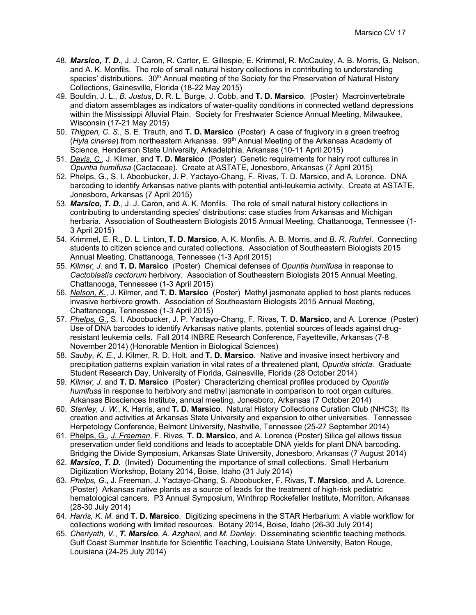- 48. *Marsico, T. D.*, J. J. Caron, R. Carter, E. Gillespie, E. Krimmel, R. McCauley, A. B. Morris, G. Nelson, and A. K. Monfils. The role of small natural history collections in contributing to understanding species' distributions. 30<sup>th</sup> Annual meeting of the Society for the Preservation of Natural History Collections, Gainesville, Florida (18-22 May 2015)
- 49. Bouldin, J. L., *B. Justus*, D. R. L. Burge, J. Cobb, and **T. D. Marsico**. (Poster) Macroinvertebrate and diatom assemblages as indicators of water-quality conditions in connected wetland depressions within the Mississippi Alluvial Plain. Society for Freshwater Science Annual Meeting, Milwaukee, Wisconsin (17-21 May 2015)
- 50. *Thigpen, C. S.*, S. E. Trauth, and **T. D. Marsico** (Poster) A case of frugivory in a green treefrog (*Hyla cinerea*) from northeastern Arkansas. 99th Annual Meeting of the Arkansas Academy of Science, Henderson State University, Arkadelphia, Arkansas (10-11 April 2015)
- 51. *Davis, C.*, J. Kilmer, and **T. D. Marsico** (Poster) Genetic requirements for hairy root cultures in *Opuntia humifusa* (Cactaceae). Create at ASTATE, Jonesboro, Arkansas (7 April 2015)
- 52. Phelps, G., S. I. Aboobucker, J. P. Yactayo-Chang, F. Rivas, T. D. Marsico, and A. Lorence. DNA barcoding to identify Arkansas native plants with potential anti-leukemia activity. Create at ASTATE, Jonesboro, Arkansas (7 April 2015)
- 53. *Marsico, T. D.*, J. J. Caron, and A. K. Monfils. The role of small natural history collections in contributing to understanding species' distributions: case studies from Arkansas and Michigan herbaria. Association of Southeastern Biologists 2015 Annual Meeting, Chattanooga, Tennessee (1- 3 April 2015)
- 54. Krimmel, E. R., D. L. Linton, **T. D. Marsico**, A. K. Monfils, A. B. Morris, and *B. R. Ruhfel*. Connecting students to citizen science and curated collections. Association of Southeastern Biologists 2015 Annual Meeting, Chattanooga, Tennessee (1-3 April 2015)
- 55. *Kilmer, J.* and **T. D. Marsico** (Poster) Chemical defenses of *Opuntia humifusa* in response to *Cactoblastis cactorum* herbivory. Association of Southeastern Biologists 2015 Annual Meeting, Chattanooga, Tennessee (1-3 April 2015)
- 56. *Nelson, K.*, J. Kilmer, and **T. D. Marsico** (Poster) Methyl jasmonate applied to host plants reduces invasive herbivore growth. Association of Southeastern Biologists 2015 Annual Meeting, Chattanooga, Tennessee (1-3 April 2015)
- 57. *Phelps, G.*, S. I. Aboobucker, J. P. Yactayo-Chang, F. Rivas, **T. D. Marsico**, and A. Lorence (Poster) Use of DNA barcodes to identify Arkansas native plants, potential sources of leads against drugresistant leukemia cells. Fall 2014 INBRE Research Conference, Fayetteville, Arkansas (7-8 November 2014) (Honorable Mention in Biological Sciences)
- 58. *Sauby, K. E.*, J. Kilmer, R. D. Holt, and **T. D. Marsico**. Native and invasive insect herbivory and precipitation patterns explain variation in vital rates of a threatened plant, *Opuntia stricta*. Graduate Student Research Day, University of Florida, Gainesville, Florida (28 October 2014)
- 59. *Kilmer, J.* and **T. D. Marsico** (Poster) Characterizing chemical profiles produced by *Opuntia humifusa* in response to herbivory and methyl jasmonate in comparison to root organ cultures. Arkansas Biosciences Institute, annual meeting, Jonesboro, Arkansas (7 October 2014)
- 60. *Stanley, J. W.*, K. Harris, and **T. D. Marsico**. Natural History Collections Curation Club (NHC3): Its creation and activities at Arkansas State University and expansion to other universities. Tennessee Herpetology Conference, Belmont University, Nashville, Tennessee (25-27 September 2014)
- 61. Phelps, G., *J. Freeman*, F. Rivas, **T. D. Marsico**, and A. Lorence (Poster) Silica gel allows tissue preservation under field conditions and leads to acceptable DNA yields for plant DNA barcoding. Bridging the Divide Symposium, Arkansas State University, Jonesboro, Arkansas (7 August 2014)
- 62. *Marsico, T. D.* (Invited) Documenting the importance of small collections. Small Herbarium Digitization Workshop, Botany 2014, Boise, Idaho (31 July 2014)
- 63. *Phelps, G.*, J. Freeman, J. Yactayo-Chang, S. Aboobucker, F. Rivas, **T. Marsico**, and A. Lorence. (Poster) Arkansas native plants as a source of leads for the treatment of high-risk pediatric hematological cancers. P3 Annual Symposium, Winthrop Rockefeller Institute, Morrilton, Arkansas (28-30 July 2014)
- 64. *Harris, K. M.* and **T. D. Marsico**. Digitizing specimens in the STAR Herbarium: A viable workflow for collections working with limited resources. Botany 2014, Boise, Idaho (26-30 July 2014)
- 65. *Cheriyath, V.*, *T. Marsico*, *A. Azghani*, and *M. Danley*. Disseminating scientific teaching methods. Gulf Coast Summer Institute for Scientific Teaching, Louisiana State University, Baton Rouge, Louisiana (24-25 July 2014)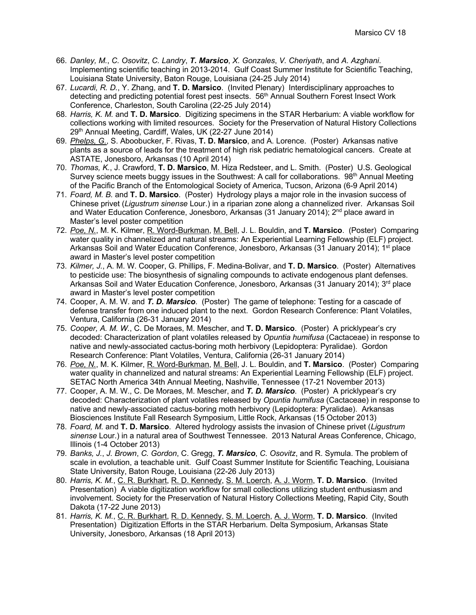- 66. *Danley, M.*, *C. Osovitz*, *C. Landry*, *T. Marsico*, *X. Gonzales*, *V. Cheriyath*, and *A. Azghani*. Implementing scientific teaching in 2013-2014. Gulf Coast Summer Institute for Scientific Teaching, Louisiana State University, Baton Rouge, Louisiana (24-25 July 2014)
- 67. *Lucardi, R. D.*, Y. Zhang, and **T. D. Marsico**. (Invited Plenary) Interdisciplinary approaches to detecting and predicting potential forest pest insects. 56<sup>th</sup> Annual Southern Forest Insect Work Conference, Charleston, South Carolina (22-25 July 2014)
- 68. *Harris, K. M.* and **T. D. Marsico**. Digitizing specimens in the STAR Herbarium: A viable workflow for collections working with limited resources. Society for the Preservation of Natural History Collections 29<sup>th</sup> Annual Meeting, Cardiff, Wales, UK (22-27 June 2014)
- 69. *Phelps, G.*, S. Aboobucker, F. Rivas, **T. D. Marsico**, and A. Lorence. (Poster) Arkansas native plants as a source of leads for the treatment of high risk pediatric hematological cancers. Create at ASTATE, Jonesboro, Arkansas (10 April 2014)
- 70. *Thomas, K.*, J. Crawford, **T. D. Marsico**, M. Hiza Redsteer, and L. Smith. (Poster) U.S. Geological Survey science meets buggy issues in the Southwest: A call for collaborations. 98<sup>th</sup> Annual Meeting of the Pacific Branch of the Entomological Society of America, Tucson, Arizona (6-9 April 2014)
- 71. *Foard, M. B.* and **T. D. Marsico**. (Poster) Hydrology plays a major role in the invasion success of Chinese privet (*Ligustrum sinense* Lour.) in a riparian zone along a channelized river. Arkansas Soil and Water Education Conference, Jonesboro, Arkansas (31 January 2014);  $2<sup>nd</sup>$  place award in Master's level poster competition
- 72. *Poe, N.*, M. K. Kilmer, R. Word-Burkman, M. Bell, J. L. Bouldin, and **T. Marsico**. (Poster) Comparing water quality in channelized and natural streams: An Experiential Learning Fellowship (ELF) project. Arkansas Soil and Water Education Conference, Jonesboro, Arkansas (31 January 2014); 1<sup>st</sup> place award in Master's level poster competition
- 73. *Kilmer, J.*, A. M. W. Cooper, G. Phillips, F. Medina-Bolivar, and **T. D. Marsico**. (Poster) Alternatives to pesticide use: The biosynthesis of signaling compounds to activate endogenous plant defenses. Arkansas Soil and Water Education Conference, Jonesboro, Arkansas (31 January 2014); 3<sup>rd</sup> place award in Master's level poster competition
- 74. Cooper, A. M. W. and *T. D. Marsico*. (Poster) The game of telephone: Testing for a cascade of defense transfer from one induced plant to the next. Gordon Research Conference: Plant Volatiles, Ventura, California (26-31 January 2014)
- 75. *Cooper, A. M. W.*, C. De Moraes, M. Mescher, and **T. D. Marsico**. (Poster) A pricklypear's cry decoded: Characterization of plant volatiles released by *Opuntia humifusa* (Cactaceae) in response to native and newly-associated cactus-boring moth herbivory (Lepidoptera: Pyralidae). Gordon Research Conference: Plant Volatiles, Ventura, California (26-31 January 2014)
- 76. *Poe, N.*, M. K. Kilmer, R. Word-Burkman, M. Bell, J. L. Bouldin, and **T. Marsico**. (Poster) Comparing water quality in channelized and natural streams: An Experiential Learning Fellowship (ELF) project. SETAC North America 34th Annual Meeting, Nashville, Tennessee (17-21 November 2013)
- 77. Cooper, A. M. W., C. De Moraes, M. Mescher, and *T. D. Marsico*. (Poster) A pricklypear's cry decoded: Characterization of plant volatiles released by *Opuntia humifusa* (Cactaceae) in response to native and newly-associated cactus-boring moth herbivory (Lepidoptera: Pyralidae). Arkansas Biosciences Institute Fall Research Symposium, Little Rock, Arkansas (15 October 2013)
- 78. *Foard, M.* and **T. D. Marsico**. Altered hydrology assists the invasion of Chinese privet (*Ligustrum sinense* Lour.) in a natural area of Southwest Tennessee. 2013 Natural Areas Conference, Chicago, Illinois (1-4 October 2013)
- 79. *Banks, J.*, *J. Brown*, *C. Gordon*, C. Gregg, *T. Marsico*, *C. Osovitz*, and R. Symula. The problem of scale in evolution, a teachable unit. Gulf Coast Summer Institute for Scientific Teaching, Louisiana State University, Baton Rouge, Louisiana (22-26 July 2013)
- 80. *Harris, K. M.*, C. R. Burkhart, R. D. Kennedy, S. M. Loerch, A. J. Worm, **T. D. Marsico**. (Invited Presentation) A viable digitization workflow for small collections utilizing student enthusiasm and involvement. Society for the Preservation of Natural History Collections Meeting, Rapid City, South Dakota (17-22 June 2013)
- 81. *Harris, K. M.*, C. R. Burkhart, R. D. Kennedy, S. M. Loerch, A. J. Worm, **T. D. Marsico**. (Invited Presentation) Digitization Efforts in the STAR Herbarium. Delta Symposium, Arkansas State University, Jonesboro, Arkansas (18 April 2013)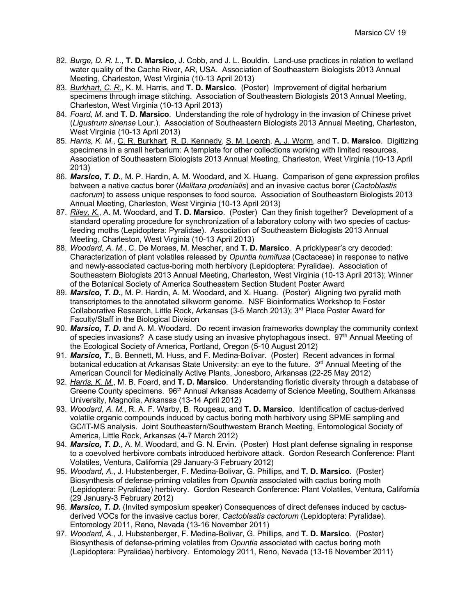- 82. *Burge, D. R. L.*, **T. D. Marsico**, J. Cobb, and J. L. Bouldin. Land-use practices in relation to wetland water quality of the Cache River, AR, USA. Association of Southeastern Biologists 2013 Annual Meeting, Charleston, West Virginia (10-13 April 2013)
- 83. *Burkhart, C. R.*, K. M. Harris, and **T. D. Marsico**. (Poster) Improvement of digital herbarium specimens through image stitching. Association of Southeastern Biologists 2013 Annual Meeting, Charleston, West Virginia (10-13 April 2013)
- 84. *Foard, M*. and **T. D. Marsico**. Understanding the role of hydrology in the invasion of Chinese privet (*Ligustrum sinense* Lour.). Association of Southeastern Biologists 2013 Annual Meeting, Charleston, West Virginia (10-13 April 2013)
- 85. *Harris, K. M.*, C. R. Burkhart, R. D. Kennedy, S. M. Loerch, A. J. Worm, and **T. D. Marsico**. Digitizing specimens in a small herbarium: A template for other collections working with limited resources. Association of Southeastern Biologists 2013 Annual Meeting, Charleston, West Virginia (10-13 April 2013)
- 86. *Marsico, T. D.*, M. P. Hardin, A. M. Woodard, and X. Huang. Comparison of gene expression profiles between a native cactus borer (*Melitara prodenialis*) and an invasive cactus borer (*Cactoblastis cactorum*) to assess unique responses to food source. Association of Southeastern Biologists 2013 Annual Meeting, Charleston, West Virginia (10-13 April 2013)
- 87. *Riley, K.*, A. M. Woodard, and **T. D. Marsico**. (Poster) Can they finish together? Development of a standard operating procedure for synchronization of a laboratory colony with two species of cactusfeeding moths (Lepidoptera: Pyralidae). Association of Southeastern Biologists 2013 Annual Meeting, Charleston, West Virginia (10-13 April 2013)
- 88. *Woodard, A. M.*, C. De Moraes, M. Mescher, and **T. D. Marsico**. A pricklypear's cry decoded: Characterization of plant volatiles released by *Opuntia humifusa* (Cactaceae) in response to native and newly-associated cactus-boring moth herbivory (Lepidoptera: Pyralidae). Association of Southeastern Biologists 2013 Annual Meeting, Charleston, West Virginia (10-13 April 2013); Winner of the Botanical Society of America Southeastern Section Student Poster Award
- 89. *Marsico, T. D.*, M. P. Hardin, A. M. Woodard, and X. Huang. (Poster) Aligning two pyralid moth transcriptomes to the annotated silkworm genome. NSF Bioinformatics Workshop to Foster Collaborative Research, Little Rock, Arkansas (3-5 March 2013); 3rd Place Poster Award for Faculty/Staff in the Biological Division
- 90. *Marsico, T. D***.** and A. M. Woodard. Do recent invasion frameworks downplay the community context of species invasions? A case study using an invasive phytophagous insect. 97<sup>th</sup> Annual Meeting of the Ecological Society of America, Portland, Oregon (5-10 August 2012)
- 91. *Marsico, T.*, B. Bennett, M. Huss, and F. Medina-Bolivar. (Poster) Recent advances in formal botanical education at Arkansas State University: an eye to the future. 3<sup>rd</sup> Annual Meeting of the American Council for Medicinally Active Plants, Jonesboro, Arkansas (22-25 May 2012)
- 92. *Harris, K. M.*, M. B. Foard, and **T. D. Marsico**. Understanding floristic diversity through a database of Greene County specimens. 96<sup>th</sup> Annual Arkansas Academy of Science Meeting, Southern Arkansas University, Magnolia, Arkansas (13-14 April 2012)
- 93. *Woodard, A. M.*, R. A. F. Warby, B. Rougeau, and **T. D. Marsico**. Identification of cactus-derived volatile organic compounds induced by cactus boring moth herbivory using SPME sampling and GC/IT-MS analysis. Joint Southeastern/Southwestern Branch Meeting, Entomological Society of America, Little Rock, Arkansas (4-7 March 2012)
- 94. *Marsico, T. D.*, A. M. Woodard, and G. N. Ervin. (Poster) Host plant defense signaling in response to a coevolved herbivore combats introduced herbivore attack. Gordon Research Conference: Plant Volatiles, Ventura, California (29 January-3 February 2012)
- 95. *Woodard, A.*, J. Hubstenberger, F. Medina-Bolivar, G. Phillips, and **T. D. Marsico**. (Poster) Biosynthesis of defense-priming volatiles from *Opuntia* associated with cactus boring moth (Lepidoptera: Pyralidae) herbivory. Gordon Research Conference: Plant Volatiles, Ventura, California (29 January-3 February 2012)
- 96. *Marsico, T. D.* (Invited symposium speaker) Consequences of direct defenses induced by cactusderived VOCs for the invasive cactus borer, *Cactoblastis cactorum* (Lepidoptera: Pyralidae). Entomology 2011, Reno, Nevada (13-16 November 2011)
- 97. *Woodard, A.*, J. Hubstenberger, F. Medina-Bolivar, G. Phillips, and **T. D. Marsico**. (Poster) Biosynthesis of defense-priming volatiles from *Opuntia* associated with cactus boring moth (Lepidoptera: Pyralidae) herbivory. Entomology 2011, Reno, Nevada (13-16 November 2011)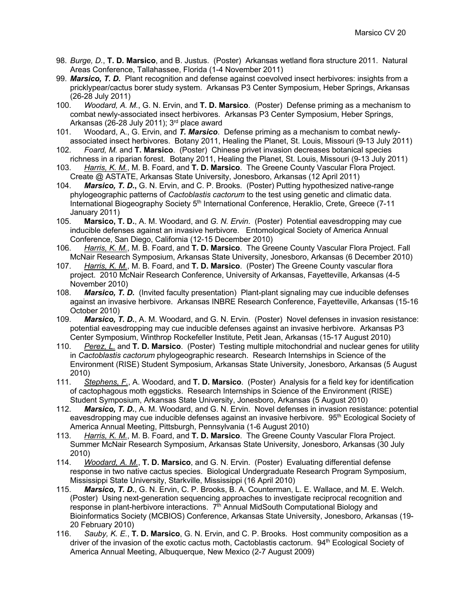- 98. *Burge, D.*, **T. D. Marsico**, and B. Justus. (Poster) Arkansas wetland flora structure 2011. Natural Areas Conference, Tallahassee, Florida (1-4 November 2011)
- 99. *Marsico, T. D.* Plant recognition and defense against coevolved insect herbivores: insights from a pricklypear/cactus borer study system. Arkansas P3 Center Symposium, Heber Springs, Arkansas (26-28 July 2011)
- 100. *Woodard, A. M.*, G. N. Ervin, and **T. D. Marsico**. (Poster) Defense priming as a mechanism to combat newly-associated insect herbivores. Arkansas P3 Center Symposium, Heber Springs, Arkansas (26-28 July 2011); 3<sup>rd</sup> place award
- 101. Woodard, A., G. Ervin, and *T. Marsico*. Defense priming as a mechanism to combat newlyassociated insect herbivores. Botany 2011, Healing the Planet, St. Louis, Missouri (9-13 July 2011)
- 102. *Foard, M.* and **T. Marsico**. (Poster) Chinese privet invasion decreases botanical species richness in a riparian forest. Botany 2011, Healing the Planet, St. Louis, Missouri (9-13 July 2011)
- 103. *Harris, K. M.*, M. B. Foard, and **T. D. Marsico**. The Greene County Vascular Flora Project. Create @ ASTATE, Arkansas State University, Jonesboro, Arkansas (12 April 2011)
- 104. *Marsico, T. D.***,** G. N. Ervin, and C. P. Brooks. (Poster) Putting hypothesized native-range phylogeographic patterns of *Cactoblastis cactorum* to the test using genetic and climatic data. International Biogeography Society 5<sup>th</sup> International Conference, Heraklio, Crete, Greece (7-11 January 2011)
- 105. **Marsico, T. D.**, A. M. Woodard, and *G. N. Ervin*. (Poster) Potential eavesdropping may cue inducible defenses against an invasive herbivore. Entomological Society of America Annual Conference, San Diego, California (12-15 December 2010)
- 106. *Harris, K. M.*, M. B. Foard, and **T. D. Marsico**. The Greene County Vascular Flora Project. Fall McNair Research Symposium, Arkansas State University, Jonesboro, Arkansas (6 December 2010)
- 107. *Harris, K. M.*, M. B. Foard, and **T. D. Marsico**. (Poster) The Greene County vascular flora project. 2010 McNair Research Conference, University of Arkansas, Fayetteville, Arkansas (4-5 November 2010)
- 108. *Marsico, T. D.* (Invited faculty presentation) Plant-plant signaling may cue inducible defenses against an invasive herbivore. Arkansas INBRE Research Conference, Fayetteville, Arkansas (15-16 October 2010)
- 109. *Marsico, T. D.*, A. M. Woodard, and G. N. Ervin. (Poster) Novel defenses in invasion resistance: potential eavesdropping may cue inducible defenses against an invasive herbivore. Arkansas P3 Center Symposium, Winthrop Rockefeller Institute, Petit Jean, Arkansas (15-17 August 2010)
- 110. *Perez, L.* and **T. D. Marsico**. (Poster) Testing multiple mitochondrial and nuclear genes for utility in *Cactoblastis cactorum* phylogeographic research. Research Internships in Science of the Environment (RISE) Student Symposium, Arkansas State University, Jonesboro, Arkansas (5 August 2010)
- 111. *Stephens, F.*, A. Woodard, and **T. D. Marsico**. (Poster) Analysis for a field key for identification of cactophagous moth eggsticks. Research Internships in Science of the Environment (RISE) Student Symposium, Arkansas State University, Jonesboro, Arkansas (5 August 2010)
- 112. *Marsico, T. D.*, A. M. Woodard, and G. N. Ervin. Novel defenses in invasion resistance: potential eavesdropping may cue inducible defenses against an invasive herbivore. 95<sup>th</sup> Ecological Society of America Annual Meeting, Pittsburgh, Pennsylvania (1-6 August 2010)
- 113. *Harris, K. M.*, M. B. Foard, and **T. D. Marsico**. The Greene County Vascular Flora Project. Summer McNair Research Symposium, Arkansas State University, Jonesboro, Arkansas (30 July 2010)
- 114. *Woodard, A. M.*, **T. D. Marsico**, and G. N. Ervin. (Poster) Evaluating differential defense response in two native cactus species. Biological Undergraduate Research Program Symposium, Mississippi State University, Starkville, Mississippi (16 April 2010)
- 115. *Marsico, T. D.*, G. N. Ervin, C. P. Brooks, B. A. Counterman, L. E. Wallace, and M. E. Welch. (Poster) Using next-generation sequencing approaches to investigate reciprocal recognition and response in plant-herbivore interactions. 7<sup>th</sup> Annual MidSouth Computational Biology and Bioinformatics Society (MCBIOS) Conference, Arkansas State University, Jonesboro, Arkansas (19- 20 February 2010)
- 116. *Sauby, K. E.*, **T. D. Marsico**, G. N. Ervin, and C. P. Brooks. Host community composition as a driver of the invasion of the exotic cactus moth, Cactoblastis cactorum. 94<sup>th</sup> Ecological Society of America Annual Meeting, Albuquerque, New Mexico (2-7 August 2009)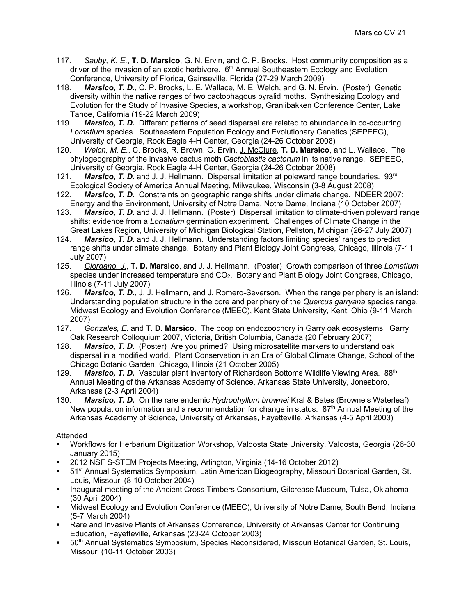- 117. *Sauby, K. E.*, **T. D. Marsico**, G. N. Ervin, and C. P. Brooks. Host community composition as a driver of the invasion of an exotic herbivore. 6<sup>th</sup> Annual Southeastern Ecology and Evolution Conference, University of Florida, Gainseville, Florida (27-29 March 2009)
- 118. *Marsico, T. D.*, C. P. Brooks, L. E. Wallace, M. E. Welch, and G. N. Ervin. (Poster) Genetic diversity within the native ranges of two cactophagous pyralid moths. Synthesizing Ecology and Evolution for the Study of Invasive Species, a workshop, Granlibakken Conference Center, Lake Tahoe, California (19-22 March 2009)
- 119. *Marsico, T. D.* Different patterns of seed dispersal are related to abundance in co-occurring *Lomatium* species. Southeastern Population Ecology and Evolutionary Genetics (SEPEEG), University of Georgia, Rock Eagle 4-H Center, Georgia (24-26 October 2008)
- 120. *Welch, M. E.*, C. Brooks, R. Brown, G. Ervin, J. McClure, **T. D. Marsico**, and L. Wallace. The phylogeography of the invasive cactus moth *Cactoblastis cactorum* in its native range. SEPEEG, University of Georgia, Rock Eagle 4-H Center, Georgia (24-26 October 2008)
- 121. *Marsico, T. D.* and J. J. Hellmann. Dispersal limitation at poleward range boundaries. 93rd Ecological Society of America Annual Meeting, Milwaukee, Wisconsin (3-8 August 2008)
- 122. *Marsico, T. D.* Constraints on geographic range shifts under climate change. NDEER 2007: Energy and the Environment, University of Notre Dame, Notre Dame, Indiana (10 October 2007)
- 123. *Marsico, T. D.* and J. J. Hellmann. (Poster) Dispersal limitation to climate-driven poleward range shifts: evidence from a *Lomatium* germination experiment. Challenges of Climate Change in the Great Lakes Region, University of Michigan Biological Station, Pellston, Michigan (26-27 July 2007)
- 124. *Marsico, T. D.* and J. J. Hellmann. Understanding factors limiting species' ranges to predict range shifts under climate change. Botany and Plant Biology Joint Congress, Chicago, Illinois (7-11 July 2007)
- 125. *Giordano, J.*, **T. D. Marsico**, and J. J. Hellmann. (Poster) Growth comparison of three *Lomatium* species under increased temperature and CO<sub>2</sub>. Botany and Plant Biology Joint Congress, Chicago, Illinois (7-11 July 2007)
- 126. *Marsico, T. D.*, J. J. Hellmann, and J. Romero-Severson. When the range periphery is an island: Understanding population structure in the core and periphery of the *Quercus garryana* species range. Midwest Ecology and Evolution Conference (MEEC), Kent State University, Kent, Ohio (9-11 March 2007)
- 127. *Gonzales, E.* and **T. D. Marsico**. The poop on endozoochory in Garry oak ecosystems. Garry Oak Research Colloquium 2007, Victoria, British Columbia, Canada (20 February 2007)
- 128. *Marsico, T. D.* (Poster) Are you primed? Using microsatellite markers to understand oak dispersal in a modified world. Plant Conservation in an Era of Global Climate Change, School of the Chicago Botanic Garden, Chicago, Illinois (21 October 2005)
- 129. **Marsico, T. D.** Vascular plant inventory of Richardson Bottoms Wildlife Viewing Area. 88<sup>th</sup> Annual Meeting of the Arkansas Academy of Science, Arkansas State University, Jonesboro, Arkansas (2-3 April 2004)
- 130. *Marsico, T. D.* On the rare endemic *Hydrophyllum brownei* Kral & Bates (Browne's Waterleaf): New population information and a recommendation for change in status.  $87<sup>th</sup>$  Annual Meeting of the Arkansas Academy of Science, University of Arkansas, Fayetteville, Arkansas (4-5 April 2003)

## Attended

- § Workflows for Herbarium Digitization Workshop, Valdosta State University, Valdosta, Georgia (26-30 January 2015)
- § 2012 NSF S-STEM Projects Meeting, Arlington, Virginia (14-16 October 2012)
- § 51st Annual Systematics Symposium, Latin American Biogeography, Missouri Botanical Garden, St. Louis, Missouri (8-10 October 2004)
- § Inaugural meeting of the Ancient Cross Timbers Consortium, Gilcrease Museum, Tulsa, Oklahoma (30 April 2004)
- § Midwest Ecology and Evolution Conference (MEEC), University of Notre Dame, South Bend, Indiana (5-7 March 2004)
- Rare and Invasive Plants of Arkansas Conference, University of Arkansas Center for Continuing Education, Fayetteville, Arkansas (23-24 October 2003)
- § 50th Annual Systematics Symposium, Species Reconsidered, Missouri Botanical Garden, St. Louis, Missouri (10-11 October 2003)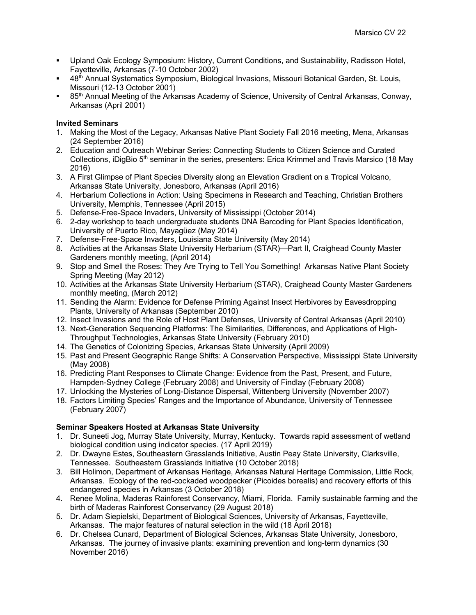- Upland Oak Ecology Symposium: History, Current Conditions, and Sustainability, Radisson Hotel, Fayetteville, Arkansas (7-10 October 2002)
- § 48th Annual Systematics Symposium, Biological Invasions, Missouri Botanical Garden, St. Louis, Missouri (12-13 October 2001)
- § 85th Annual Meeting of the Arkansas Academy of Science, University of Central Arkansas, Conway, Arkansas (April 2001)

## **Invited Seminars**

- 1. Making the Most of the Legacy, Arkansas Native Plant Society Fall 2016 meeting, Mena, Arkansas (24 September 2016)
- 2. Education and Outreach Webinar Series: Connecting Students to Citizen Science and Curated Collections, iDigBio 5<sup>th</sup> seminar in the series, presenters: Erica Krimmel and Travis Marsico (18 May 2016)
- 3. A First Glimpse of Plant Species Diversity along an Elevation Gradient on a Tropical Volcano, Arkansas State University, Jonesboro, Arkansas (April 2016)
- 4. Herbarium Collections in Action: Using Specimens in Research and Teaching, Christian Brothers University, Memphis, Tennessee (April 2015)
- 5. Defense-Free-Space Invaders, University of Mississippi (October 2014)
- 6. 2-day workshop to teach undergraduate students DNA Barcoding for Plant Species Identification, University of Puerto Rico, Mayagüez (May 2014)
- 7. Defense-Free-Space Invaders, Louisiana State University (May 2014)
- 8. Activities at the Arkansas State University Herbarium (STAR)—Part II, Craighead County Master Gardeners monthly meeting, (April 2014)
- 9. Stop and Smell the Roses: They Are Trying to Tell You Something! Arkansas Native Plant Society Spring Meeting (May 2012)
- 10. Activities at the Arkansas State University Herbarium (STAR), Craighead County Master Gardeners monthly meeting, (March 2012)
- 11. Sending the Alarm: Evidence for Defense Priming Against Insect Herbivores by Eavesdropping Plants, University of Arkansas (September 2010)
- 12. Insect Invasions and the Role of Host Plant Defenses, University of Central Arkansas (April 2010)
- 13. Next-Generation Sequencing Platforms: The Similarities, Differences, and Applications of High-Throughput Technologies, Arkansas State University (February 2010)
- 14. The Genetics of Colonizing Species, Arkansas State University (April 2009)
- 15. Past and Present Geographic Range Shifts: A Conservation Perspective, Mississippi State University (May 2008)
- 16. Predicting Plant Responses to Climate Change: Evidence from the Past, Present, and Future, Hampden-Sydney College (February 2008) and University of Findlay (February 2008)
- 17. Unlocking the Mysteries of Long-Distance Dispersal, Wittenberg University (November 2007)
- 18. Factors Limiting Species' Ranges and the Importance of Abundance, University of Tennessee (February 2007)

# **Seminar Speakers Hosted at Arkansas State University**

- 1. Dr. Suneeti Jog, Murray State University, Murray, Kentucky. Towards rapid assessment of wetland biological condition using indicator species. (17 April 2019)
- 2. Dr. Dwayne Estes, Southeastern Grasslands Initiative, Austin Peay State University, Clarksville, Tennessee. Southeastern Grasslands Initiative (10 October 2018)
- 3. Bill Holimon, Department of Arkansas Heritage, Arkansas Natural Heritage Commission, Little Rock, Arkansas. Ecology of the red-cockaded woodpecker (Picoides borealis) and recovery efforts of this endangered species in Arkansas (3 October 2018)
- 4. Renee Molina, Maderas Rainforest Conservancy, Miami, Florida. Family sustainable farming and the birth of Maderas Rainforest Conservancy (29 August 2018)
- 5. Dr. Adam Siepielski, Department of Biological Sciences, University of Arkansas, Fayetteville, Arkansas. The major features of natural selection in the wild (18 April 2018)
- 6. Dr. Chelsea Cunard, Department of Biological Sciences, Arkansas State University, Jonesboro, Arkansas. The journey of invasive plants: examining prevention and long-term dynamics (30 November 2016)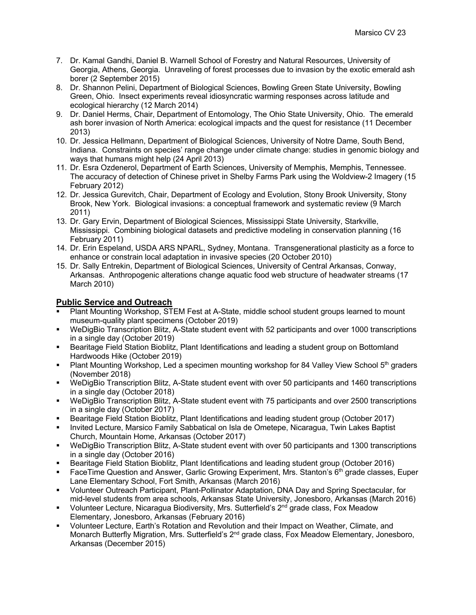- 7. Dr. Kamal Gandhi, Daniel B. Warnell School of Forestry and Natural Resources, University of Georgia, Athens, Georgia. Unraveling of forest processes due to invasion by the exotic emerald ash borer (2 September 2015)
- 8. Dr. Shannon Pelini, Department of Biological Sciences, Bowling Green State University, Bowling Green, Ohio. Insect experiments reveal idiosyncratic warming responses across latitude and ecological hierarchy (12 March 2014)
- 9. Dr. Daniel Herms, Chair, Department of Entomology, The Ohio State University, Ohio. The emerald ash borer invasion of North America: ecological impacts and the quest for resistance (11 December 2013)
- 10. Dr. Jessica Hellmann, Department of Biological Sciences, University of Notre Dame, South Bend, Indiana. Constraints on species' range change under climate change: studies in genomic biology and ways that humans might help (24 April 2013)
- 11. Dr. Esra Ozdenerol, Department of Earth Sciences, University of Memphis, Memphis, Tennessee. The accuracy of detection of Chinese privet in Shelby Farms Park using the Woldview-2 Imagery (15 February 2012)
- 12. Dr. Jessica Gurevitch, Chair, Department of Ecology and Evolution, Stony Brook University, Stony Brook, New York. Biological invasions: a conceptual framework and systematic review (9 March 2011)
- 13. Dr. Gary Ervin, Department of Biological Sciences, Mississippi State University, Starkville, Mississippi. Combining biological datasets and predictive modeling in conservation planning (16 February 2011)
- 14. Dr. Erin Espeland, USDA ARS NPARL, Sydney, Montana. Transgenerational plasticity as a force to enhance or constrain local adaptation in invasive species (20 October 2010)
- 15. Dr. Sally Entrekin, Department of Biological Sciences, University of Central Arkansas, Conway, Arkansas. Anthropogenic alterations change aquatic food web structure of headwater streams (17 March 2010)

# **Public Service and Outreach**

- Plant Mounting Workshop, STEM Fest at A-State, middle school student groups learned to mount museum-quality plant specimens (October 2019)
- WeDigBio Transcription Blitz, A-State student event with 52 participants and over 1000 transcriptions in a single day (October 2019)
- Bearitage Field Station Bioblitz, Plant Identifications and leading a student group on Bottomland Hardwoods Hike (October 2019)
- Plant Mounting Workshop, Led a specimen mounting workshop for 84 Valley View School  $5<sup>th</sup>$  graders (November 2018)
- WeDigBio Transcription Blitz, A-State student event with over 50 participants and 1460 transcriptions in a single day (October 2018)
- § WeDigBio Transcription Blitz, A-State student event with 75 participants and over 2500 transcriptions in a single day (October 2017)
- § Bearitage Field Station Bioblitz, Plant Identifications and leading student group (October 2017)
- § Invited Lecture, Marsico Family Sabbatical on Isla de Ometepe, Nicaragua, Twin Lakes Baptist Church, Mountain Home, Arkansas (October 2017)
- WeDigBio Transcription Blitz, A-State student event with over 50 participants and 1300 transcriptions in a single day (October 2016)
- § Bearitage Field Station Bioblitz, Plant Identifications and leading student group (October 2016)
- FaceTime Question and Answer, Garlic Growing Experiment, Mrs. Stanton's 6<sup>th</sup> grade classes, Euper Lane Elementary School, Fort Smith, Arkansas (March 2016)
- § Volunteer Outreach Participant, Plant-Pollinator Adaptation, DNA Day and Spring Spectacular, for mid-level students from area schools, Arkansas State University, Jonesboro, Arkansas (March 2016)
- Volunteer Lecture, Nicaragua Biodiversity, Mrs. Sutterfield's 2<sup>nd</sup> grade class, Fox Meadow Elementary, Jonesboro, Arkansas (February 2016)
- § Volunteer Lecture, Earth's Rotation and Revolution and their Impact on Weather, Climate, and Monarch Butterfly Migration, Mrs. Sutterfield's 2<sup>nd</sup> grade class, Fox Meadow Elementary, Jonesboro, Arkansas (December 2015)